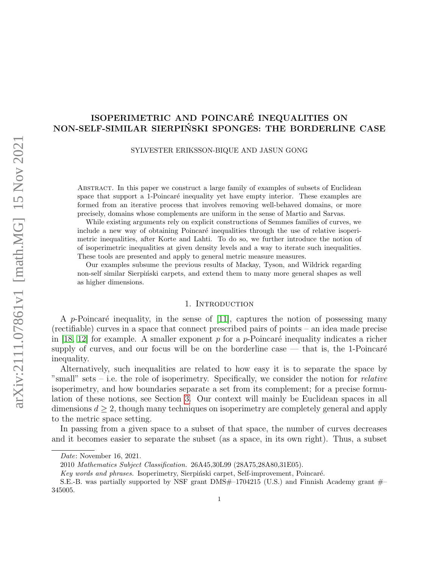# ISOPERIMETRIC AND POINCARE INEQUALITIES ON ´ NON-SELF-SIMILAR SIERPIŃSKI SPONGES: THE BORDERLINE CASE

SYLVESTER ERIKSSON-BIQUE AND JASUN GONG

ABSTRACT. In this paper we construct a large family of examples of subsets of Euclidean space that support a 1-Poincaré inequality yet have empty interior. These examples are formed from an iterative process that involves removing well-behaved domains, or more precisely, domains whose complements are uniform in the sense of Martio and Sarvas.

While existing arguments rely on explicit constructions of Semmes families of curves, we include a new way of obtaining Poincaré inequalities through the use of relative isoperimetric inequalities, after Korte and Lahti. To do so, we further introduce the notion of of isoperimetric inequalities at given density levels and a way to iterate such inequalities. These tools are presented and apply to general metric measure measures.

Our examples subsume the previous results of Mackay, Tyson, and Wildrick regarding non-self similar Sierpinski carpets, and extend them to many more general shapes as well as higher dimensions.

## 1. INTRODUCTION

A p-Poincaré inequality, in the sense of  $[11]$ , captures the notion of possessing many (rectifiable) curves in a space that connect prescribed pairs of points – an idea made precise in [\[18,](#page-26-0) [12\]](#page-26-1) for example. A smaller exponent p for a p-Poincaré inequality indicates a richer supply of curves, and our focus will be on the borderline case  $-$  that is, the 1-Poincaré inequality.

Alternatively, such inequalities are related to how easy it is to separate the space by "small" sets  $-$  i.e. the role of isoperimetry. Specifically, we consider the notion for *relative* isoperimetry, and how boundaries separate a set from its complement; for a precise formulation of these notions, see Section [3.](#page-13-0) Our context will mainly be Euclidean spaces in all dimensions  $d \geq 2$ , though many techniques on isoperimetry are completely general and apply to the metric space setting.

In passing from a given space to a subset of that space, the number of curves decreases and it becomes easier to separate the subset (as a space, in its own right). Thus, a subset

Date: November 16, 2021.

<sup>2010</sup> Mathematics Subject Classification. 26A45,30L99 (28A75,28A80,31E05).

Key words and phrases. Isoperimetry, Sierpiński carpet, Self-improvement, Poincaré.

S.E.-B. was partially supported by NSF grant DMS $#$ -1704215 (U.S.) and Finnish Academy grant  $#$ -345005.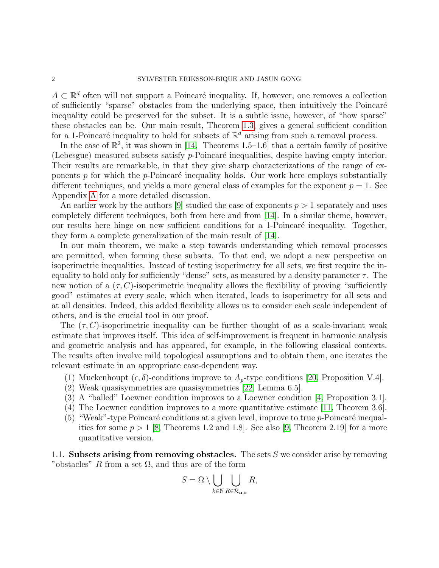$A \subset \mathbb{R}^d$  often will not support a Poincaré inequality. If, however, one removes a collection of sufficiently "sparse" obstacles from the underlying space, then intuitively the Poincaré inequality could be preserved for the subset. It is a subtle issue, however, of "how sparse" these obstacles can be. Our main result, Theorem [1.3,](#page-3-0) gives a general sufficient condition for a 1-Poincaré inequality to hold for subsets of  $\mathbb{R}^d$  arising from such a removal process.

In the case of  $\mathbb{R}^2$ , it was shown in [\[14,](#page-26-2) Theorems 1.5–1.6] that a certain family of positive (Lebesgue) measured subsets satisfy  $p$ -Poincaré inequalities, despite having empty interior. Their results are remarkable, in that they give sharp characterizations of the range of exponents  $p$  for which the  $p$ -Poincaré inequality holds. Our work here employs substantially different techniques, and yields a more general class of examples for the exponent  $p = 1$ . See Appendix [A](#page-23-0) for a more detailed discussion.

An earlier work by the authors [\[9\]](#page-25-1) studied the case of exponents  $p > 1$  separately and uses completely different techniques, both from here and from [\[14\]](#page-26-2). In a similar theme, however, our results here hinge on new sufficient conditions for a 1-Poincaré inequality. Together, they form a complete generalization of the main result of [\[14\]](#page-26-2).

In our main theorem, we make a step towards understanding which removal processes are permitted, when forming these subsets. To that end, we adopt a new perspective on isoperimetric inequalities. Instead of testing isoperimetry for all sets, we first require the inequality to hold only for sufficiently "dense" sets, as measured by a density parameter  $\tau$ . The new notion of a  $(\tau, C)$ -isoperimetric inequality allows the flexibility of proving "sufficiently good" estimates at every scale, which when iterated, leads to isoperimetry for all sets and at all densities. Indeed, this added flexibility allows us to consider each scale independent of others, and is the crucial tool in our proof.

The  $(\tau, C)$ -isoperimetric inequality can be further thought of as a scale-invariant weak estimate that improves itself. This idea of self-improvement is frequent in harmonic analysis and geometric analysis and has appeared, for example, in the following classical contexts. The results often involve mild topological assumptions and to obtain them, one iterates the relevant estimate in an appropriate case-dependent way.

- (1) Muckenhoupt  $(\epsilon, \delta)$ -conditions improve to  $A_p$ -type conditions [\[20,](#page-26-3) Proposition V.4].
- (2) Weak quasisymmetries are quasisymmetries [\[22,](#page-26-4) Lemma 6.5].
- (3) A "balled" Loewner condition improves to a Loewner condition [\[4,](#page-25-2) Proposition 3.1].
- (4) The Loewner condition improves to a more quantitative estimate [\[11,](#page-25-0) Theorem 3.6].
- (5) "Weak"-type Poincaré conditions at a given level, improve to true  $p$ -Poincaré inequalities for some  $p > 1$  [\[8,](#page-25-3) Theorems 1.2 and 1.8]. See also [\[9,](#page-25-1) Theorem 2.19] for a more quantitative version.

1.1. Subsets arising from removing obstacles. The sets  $S$  we consider arise by removing "obstacles" R from a set  $\Omega$ , and thus are of the form

$$
S = \Omega \setminus \bigcup_{k \in \mathbb{N}} \bigcup_{R \in \mathcal{R}_{\mathbf{n},k}} R,
$$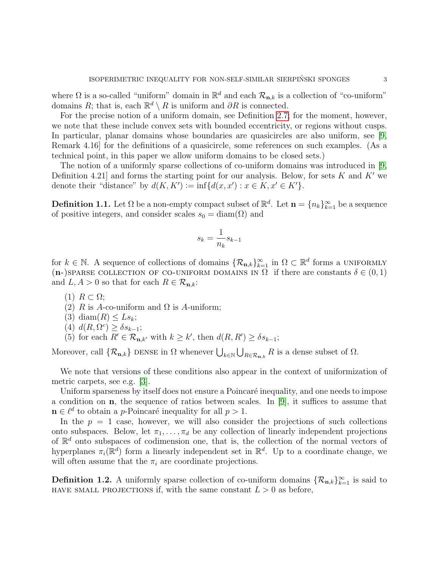where  $\Omega$  is a so-called "uniform" domain in  $\mathbb{R}^d$  and each  $\mathcal{R}_{n,k}$  is a collection of "co-uniform" domains R; that is, each  $\mathbb{R}^d \setminus R$  is uniform and  $\partial R$  is connected.

For the precise notion of a uniform domain, see Definition [2.7;](#page-8-0) for the moment, however, we note that these include convex sets with bounded eccentricity, or regions without cusps. In particular, planar domains whose boundaries are quasicircles are also uniform, see [\[9,](#page-25-1) Remark 4.16] for the definitions of a quasicircle, some references on such examples. (As a technical point, in this paper we allow uniform domains to be closed sets.)

The notion of a uniformly sparse collections of co-uniform domains was introduced in [\[9,](#page-25-1) Definition 4.21 and forms the starting point for our analysis. Below, for sets K and K' we denote their "distance" by  $d(K, K') := \inf \{ d(x, x') : x \in K, x' \in K' \}.$ 

<span id="page-2-0"></span>**Definition 1.1.** Let  $\Omega$  be a non-empty compact subset of  $\mathbb{R}^d$ . Let  $\mathbf{n} = \{n_k\}_{k=1}^{\infty}$  be a sequence of positive integers, and consider scales  $s_0 = \text{diam}(\Omega)$  and

$$
s_k = \frac{1}{n_k} s_{k-1}
$$

for  $k \in \mathbb{N}$ . A sequence of collections of domains  $\{\mathcal{R}_{n,k}\}_{k=1}^{\infty}$  in  $\Omega \subset \mathbb{R}^d$  forms a UNIFORMLY (n-)SPARSE COLLECTION OF CO-UNIFORM DOMAINS IN  $\Omega$  if there are constants  $\delta \in (0,1)$ and  $L, A > 0$  so that for each  $R \in \mathcal{R}_{\mathbf{n},k}$ :

- $(1)$   $R \subset \Omega$ ;
- (2) R is A-co-uniform and  $\Omega$  is A-uniform;
- (3) diam(R)  $\leq Ls_k$ ;
- (4)  $d(R, \Omega^c) \geq \delta s_{k-1};$
- (5) for each  $R' \in \mathcal{R}_{\mathbf{n},k'}$  with  $k \geq k'$ , then  $d(R, R') \geq \delta s_{k-1}$ ;

Moreover, call  $\{R_{n,k}\}\)$  DENSE in  $\Omega$  whenever  $\bigcup_{k\in\mathbb{N}}\bigcup_{R\in\mathcal{R}_{n,k}}R$  is a dense subset of  $\Omega$ .

We note that versions of these conditions also appear in the context of uniformization of metric carpets, see e.g. [\[3\]](#page-25-4).

Uniform sparseness by itself does not ensure a Poincaré inequality, and one needs to impose a condition on n, the sequence of ratios between scales. In [\[9\]](#page-25-1), it suffices to assume that  $\mathbf{n} \in \ell^d$  to obtain a *p*-Poincaré inequality for all  $p > 1$ .

In the  $p = 1$  case, however, we will also consider the projections of such collections onto subspaces. Below, let  $\pi_1, \ldots, \pi_d$  be any collection of linearly independent projections of  $\mathbb{R}^d$  onto subspaces of codimension one, that is, the collection of the normal vectors of hyperplanes  $\pi_i(\mathbb{R}^d)$  form a linearly independent set in  $\mathbb{R}^d$ . Up to a coordinate change, we will often assume that the  $\pi_i$  are coordinate projections.

<span id="page-2-1"></span>**Definition 1.2.** A uniformly sparse collection of co-uniform domains  $\{\mathcal{R}_{n,k}\}_{k=1}^{\infty}$  is said to HAVE SMALL PROJECTIONS if, with the same constant  $L > 0$  as before,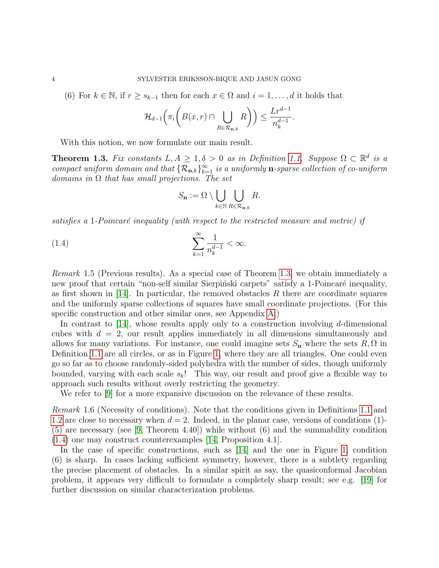(6) For  $k \in \mathbb{N}$ , if  $r \geq s_{k-1}$  then for each  $x \in \Omega$  and  $i = 1, \ldots, d$  it holds that

$$
\mathcal{H}_{d-1}\Big(\pi_i\bigg(B(x,r)\cap \bigcup_{R\in\mathcal{R}_{\mathbf{n},k}}R\bigg)\Big)\leq \frac{Lr^{d-1}}{n_k^{d-1}}.
$$

With this notion, we now formulate our main result.

<span id="page-3-0"></span>**Theorem 1.3.** Fix constants  $L, A \geq 1, \delta > 0$  as in Definition [1.1.](#page-2-0) Suppose  $\Omega \subset \mathbb{R}^d$  is a compact uniform domain and that  $\{R_{n,k}\}_{k=1}^{\infty}$  is a uniformly **n**-sparse collection of co-uniform domains in  $\Omega$  that has small projections. The set

$$
S_{\mathbf{n}} := \Omega \setminus \bigcup_{k \in \mathbb{N}} \bigcup_{R \in \mathcal{R}_{\mathbf{n},k}} R.
$$

satisfies a 1-Poincaré inequality (with respect to the restricted measure and metric) if

<span id="page-3-1"></span>
$$
\sum_{k=1}^{\infty} \frac{1}{n_k^{d-1}} < \infty.
$$

Remark 1.5 (Previous results). As a special case of Theorem [1.3,](#page-3-0) we obtain immediately a new proof that certain "non-self similar Sierpinski carpets" satisfy a 1-Poincaré inequality, as first shown in  $|14|$ . In particular, the removed obstacles R there are coordinate squares and the uniformly sparse collections of squares have small coordinate projections. (For this specific construction and other similar ones, see Appendix [A.](#page-23-0))

In contrast to  $[14]$ , whose results apply only to a construction involving d-dimensional cubes with  $d = 2$ , our result applies immediately in all dimensions simultaneously and allows for many variations. For instance, one could imagine sets  $S_n$  where the sets  $R, \Omega$  in Definition [1.1](#page-2-0) are all circles, or as in Figure [1,](#page-4-0) where they are all triangles. One could even go so far as to choose randomly-sided polyhedra with the number of sides, though uniformly bounded, varying with each scale  $s_k$ ! This way, our result and proof give a flexible way to approach such results without overly restricting the geometry.

We refer to [\[9\]](#page-25-1) for a more expansive discussion on the relevance of these results.

Remark 1.6 (Necessity of conditions). Note that the conditions given in Definitions [1.1](#page-2-0) and [1.2](#page-2-1) are close to necessary when  $d = 2$ . Indeed, in the planar case, versions of conditions (1)-(5) are necessary (see [\[9,](#page-25-1) Theorem 4.40]) while without (6) and the summability condition [\(1.4\)](#page-3-1) one may construct counterexamples [\[14,](#page-26-2) Proposition 4.1].

In the case of specific constructions, such as [\[14\]](#page-26-2) and the one in Figure [1,](#page-4-0) condition (6) is sharp. In cases lacking sufficient symmetry, however, there is a subtlety regarding the precise placement of obstacles. In a similar spirit as say, the quasiconformal Jacobian problem, it appears very difficult to formulate a completely sharp result; see e.g. [\[19\]](#page-26-5) for further discussion on similar characterization problems.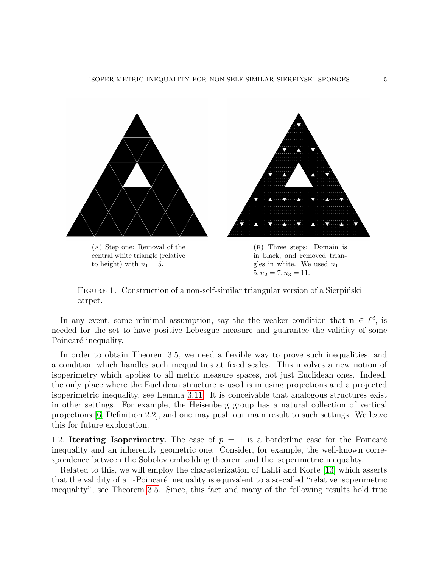<span id="page-4-0"></span>

FIGURE 1. Construction of a non-self-similar triangular version of a Sierpinski carpet.

In any event, some minimal assumption, say the the weaker condition that  $\mathbf{n} \in \ell^d$ , is needed for the set to have positive Lebesgue measure and guarantee the validity of some Poincaré inequality.

In order to obtain Theorem [3.5,](#page-15-0) we need a flexible way to prove such inequalities, and a condition which handles such inequalities at fixed scales. This involves a new notion of isoperimetry which applies to all metric measure spaces, not just Euclidean ones. Indeed, the only place where the Euclidean structure is used is in using projections and a projected isoperimetric inequality, see Lemma [3.11.](#page-17-0) It is conceivable that analogous structures exist in other settings. For example, the Heisenberg group has a natural collection of vertical projections [\[6,](#page-25-5) Definition 2.2], and one may push our main result to such settings. We leave this for future exploration.

1.2. Iterating Isoperimetry. The case of  $p = 1$  is a borderline case for the Poincaré inequality and an inherently geometric one. Consider, for example, the well-known correspondence between the Sobolev embedding theorem and the isoperimetric inequality.

Related to this, we will employ the characterization of Lahti and Korte [\[13\]](#page-26-6) which asserts that the validity of a 1-Poincaré inequality is equivalent to a so-called "relative isoperimetric inequality", see Theorem [3.5.](#page-15-0) Since, this fact and many of the following results hold true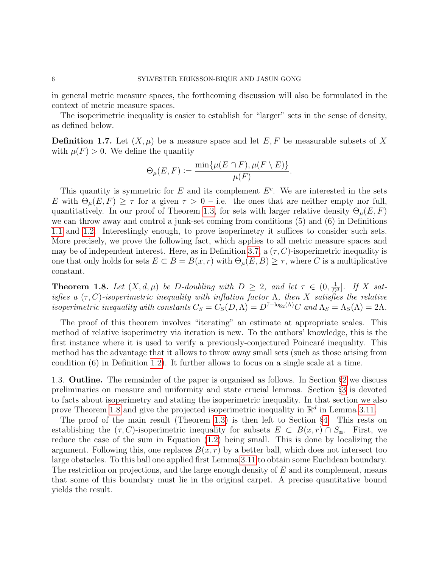in general metric measure spaces, the forthcoming discussion will also be formulated in the context of metric measure spaces.

The isoperimetric inequality is easier to establish for "larger" sets in the sense of density, as defined below.

**Definition 1.7.** Let  $(X, \mu)$  be a measure space and let E, F be measurable subsets of X with  $\mu(F) > 0$ . We define the quantity

$$
\Theta_{\mu}(E,F) := \frac{\min\{\mu(E \cap F), \mu(F \setminus E)\}}{\mu(F)}.
$$

This quantity is symmetric for  $E$  and its complement  $E<sup>c</sup>$ . We are interested in the sets E with  $\Theta_{\mu}(E, F) \geq \tau$  for a given  $\tau > 0$  – i.e. the ones that are neither empty nor full, quantitatively. In our proof of Theorem [1.3,](#page-3-0) for sets with larger relative density  $\Theta_u(E, F)$ we can throw away and control a junk-set coming from conditions (5) and (6) in Definitions [1.1](#page-2-0) and [1.2.](#page-2-1) Interestingly enough, to prove isoperimetry it suffices to consider such sets. More precisely, we prove the following fact, which applies to all metric measure spaces and may be of independent interest. Here, as in Definition [3.7,](#page-15-1) a  $(\tau, C)$ -isoperimetric inequality is one that only holds for sets  $E \subset B = B(x, r)$  with  $\Theta_{\mu}(E, B) \geq \tau$ , where C is a multiplicative constant.

<span id="page-5-0"></span>**Theorem 1.8.** Let  $(X, d, \mu)$  be D-doubling with  $D \geq 2$ , and let  $\tau \in (0, \frac{1}{D})$  $\frac{1}{D^3}$ . If X satisfies a  $(\tau, C)$ -isoperimetric inequality with inflation factor  $\Lambda$ , then X satisfies the relative isoperimetric inequality with constants  $C_S = C_S(D, \Lambda) = D^{7+\log_2(\Lambda)}C$  and  $\Lambda_S = \Lambda_S(\Lambda) = 2\Lambda$ .

The proof of this theorem involves "iterating" an estimate at appropriate scales. This method of relative isoperimetry via iteration is new. To the authors' knowledge, this is the first instance where it is used to verify a previously-conjectured Poincaré inequality. This method has the advantage that it allows to throw away small sets (such as those arising from condition (6) in Definition [1.2\)](#page-2-1). It further allows to focus on a single scale at a time.

1.3. **Outline.** The remainder of the paper is organised as follows. In Section  $\S2$  $\S2$  we discuss preliminaries on measure and uniformity and state crucial lemmas. Section §[3](#page-13-0) is devoted to facts about isoperimetry and stating the isoperimetric inequality. In that section we also prove Theorem [1.8](#page-5-0) and give the projected isoperimetric inequality in  $\mathbb{R}^d$  in Lemma [3.11.](#page-17-0)

The proof of the main result (Theorem [1.3\)](#page-3-0) is then left to Section §[4.](#page-18-0) This rests on establishing the  $(\tau, C)$ -isoperimetric inequality for subsets  $E \subset B(x, r) \cap S_n$ . First, we reduce the case of the sum in Equation [\(1.2\)](#page-2-1) being small. This is done by localizing the argument. Following this, one replaces  $B(x, r)$  by a better ball, which does not intersect too large obstacles. To this ball one applied first Lemma [3.11](#page-17-0) to obtain some Euclidean boundary. The restriction on projections, and the large enough density of  $E$  and its complement, means that some of this boundary must lie in the original carpet. A precise quantitative bound yields the result.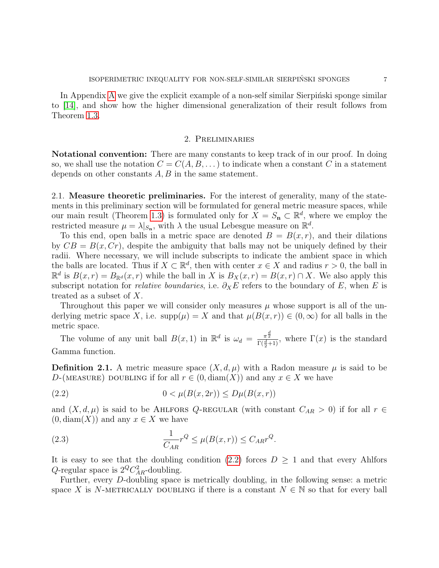In [A](#page-23-0)ppendix A we give the explicit example of a non-self similar Sierpinski sponge similar to [\[14\]](#page-26-2), and show how the higher dimensional generalization of their result follows from Theorem [1.3.](#page-3-0)

### 2. Preliminaries

<span id="page-6-0"></span>Notational convention: There are many constants to keep track of in our proof. In doing so, we shall use the notation  $C = C(A, B, \dots)$  to indicate when a constant C in a statement depends on other constants  $A, B$  in the same statement.

2.1. **Measure theoretic preliminaries.** For the interest of generality, many of the statements in this preliminary section will be formulated for general metric measure spaces, while our main result (Theorem [1.3\)](#page-3-0) is formulated only for  $\tilde{X} = S_n \subset \mathbb{R}^d$ , where we employ the restricted measure  $\mu = \lambda|_{S_n}$ , with  $\lambda$  the usual Lebesgue measure on  $\mathbb{R}^d$ .

To this end, open balls in a metric space are denoted  $B = B(x, r)$ , and their dilations by  $CB = B(x, Cr)$ , despite the ambiguity that balls may not be uniquely defined by their radii. Where necessary, we will include subscripts to indicate the ambient space in which the balls are located. Thus if  $X \subset \mathbb{R}^d$ , then with center  $x \in X$  and radius  $r > 0$ , the ball in  $\mathbb{R}^d$  is  $B(x,r) = B_{\mathbb{R}^d}(x,r)$  while the ball in X is  $B_X(x,r) = B(x,r) \cap X$ . We also apply this subscript notation for *relative boundaries*, i.e.  $\partial_X E$  refers to the boundary of E, when E is treated as a subset of X.

Throughout this paper we will consider only measures  $\mu$  whose support is all of the underlying metric space X, i.e.  $supp(\mu) = X$  and that  $\mu(B(x, r)) \in (0, \infty)$  for all balls in the metric space.

The volume of any unit ball  $B(x, 1)$  in  $\mathbb{R}^d$  is  $\omega_d = \frac{\pi^{\frac{d}{2}}}{\Gamma(\frac{d}{2}+1)}$ , where  $\Gamma(x)$  is the standard Gamma function.

<span id="page-6-2"></span>**Definition 2.1.** A metric measure space  $(X, d, \mu)$  with a Radon measure  $\mu$  is said to be D-(MEASURE) DOUBLING if for all  $r \in (0, \text{diam}(X))$  and any  $x \in X$  we have

<span id="page-6-1"></span>(2.2) 
$$
0 < \mu(B(x, 2r)) \le D\mu(B(x, r))
$$

and  $(X, d, \mu)$  is said to be AHLFORS Q-REGULAR (with constant  $C_{AR} > 0$ ) if for all  $r \in$  $(0, \text{diam}(X))$  and any  $x \in X$  we have

<span id="page-6-3"></span>(2.3) 
$$
\frac{1}{C_{AR}} r^Q \le \mu(B(x, r)) \le C_{AR} r^Q.
$$

It is easy to see that the doubling condition [\(2.2\)](#page-6-1) forces  $D \geq 1$  and that every Ahlfors  $Q$ -regular space is  $2{}^{Q}C_{AR}^{2}$ -doubling.

Further, every D-doubling space is metrically doubling, in the following sense: a metric space X is N-METRICALLY DOUBLING if there is a constant  $N \in \mathbb{N}$  so that for every ball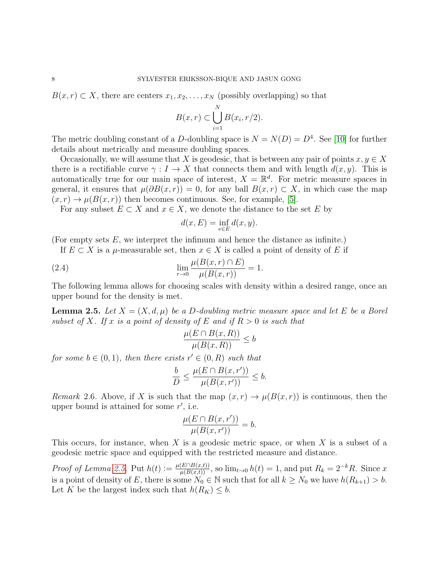$B(x, r) \subset X$ , there are centers  $x_1, x_2, \ldots, x_N$  (possibly overlapping) so that

$$
B(x,r) \subset \bigcup_{i=1}^{N} B(x_i,r/2).
$$

The metric doubling constant of a D-doubling space is  $N = N(D) = D<sup>4</sup>$ . See [\[10\]](#page-25-6) for further details about metrically and measure doubling spaces.

Occasionally, we will assume that X is geodesic, that is between any pair of points  $x, y \in X$ there is a rectifiable curve  $\gamma: I \to X$  that connects them and with length  $d(x, y)$ . This is automatically true for our main space of interest,  $X = \mathbb{R}^d$ . For metric measure spaces in general, it ensures that  $\mu(\partial B(x, r)) = 0$ , for any ball  $B(x, r) \subset X$ , in which case the map  $(x, r) \rightarrow \mu(B(x, r))$  then becomes continuous. See, for example, [\[5\]](#page-25-7).

For any subset  $E \subset X$  and  $x \in X$ , we denote the distance to the set E by

$$
d(x, E) = \inf_{e \in E} d(x, y).
$$

(For empty sets  $E$ , we interpret the infimum and hence the distance as infinite.)

If  $E \subset X$  is a  $\mu$ -measurable set, then  $x \in X$  is called a point of density of E if

(2.4) 
$$
\lim_{r \to 0} \frac{\mu(B(x, r) \cap E)}{\mu(B(x, r))} = 1.
$$

The following lemma allows for choosing scales with density within a desired range, once an upper bound for the density is met.

<span id="page-7-0"></span>**Lemma 2.5.** Let  $X = (X, d, \mu)$  be a D-doubling metric measure space and let E be a Borel subset of X. If x is a point of density of E and if  $R > 0$  is such that

$$
\frac{\mu(E \cap B(x, R))}{\mu(B(x, R))} \le b
$$

for some  $b \in (0,1)$ , then there exists  $r' \in (0,R)$  such that

$$
\frac{b}{D} \le \frac{\mu(E \cap B(x, r'))}{\mu(B(x, r'))} \le b.
$$

Remark 2.6. Above, if X is such that the map  $(x, r) \to \mu(B(x, r))$  is continuous, then the upper bound is attained for some  $r'$ , i.e.

$$
\frac{\mu(E \cap B(x, r'))}{\mu(B(x, r'))} = b.
$$

This occurs, for instance, when  $X$  is a geodesic metric space, or when  $X$  is a subset of a geodesic metric space and equipped with the restricted measure and distance.

*Proof of Lemma [2.5.](#page-7-0)* Put  $h(t) := \frac{\mu(E \cap B(x,t))}{\mu(B(x,t))}$ , so  $\lim_{t \to 0} h(t) = 1$ , and put  $R_k = 2^{-k}R$ . Since x is a point of density of E, there is some  $N_0 \in \mathbb{N}$  such that for all  $k \ge N_0$  we have  $h(R_{k+1}) > b$ . Let K be the largest index such that  $h(R_K) \leq b$ .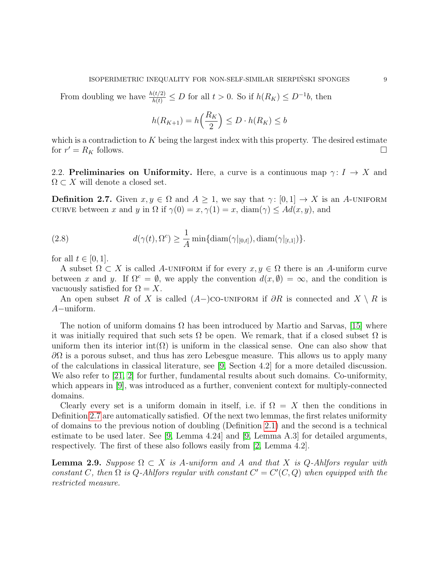From doubling we have  $\frac{h(t/2)}{h(t)} \leq D$  for all  $t > 0$ . So if  $h(R_K) \leq D^{-1}b$ , then

$$
h(R_{K+1}) = h\left(\frac{R_K}{2}\right) \le D \cdot h(R_K) \le b
$$

which is a contradiction to  $K$  being the largest index with this property. The desired estimate for  $r' = R_K$  follows.

2.2. Preliminaries on Uniformity. Here, a curve is a continuous map  $\gamma: I \to X$  and  $\Omega \subset X$  will denote a closed set.

<span id="page-8-0"></span>**Definition 2.7.** Given  $x, y \in \Omega$  and  $A \geq 1$ , we say that  $\gamma : [0, 1] \rightarrow X$  is an A-UNIFORM CURVE between x and y in  $\Omega$  if  $\gamma(0) = x, \gamma(1) = x$ , diam( $\gamma$ ) < Ad(x, y), and

(2.8) 
$$
d(\gamma(t), \Omega^c) \geq \frac{1}{A} \min\{\text{diam}(\gamma|_{[0,t]}), \text{diam}(\gamma|_{[t,1]})\}.
$$

for all  $t \in [0, 1]$ .

A subset  $\Omega \subset X$  is called A-UNIFORM if for every  $x, y \in \Omega$  there is an A-uniform curve between x and y. If  $\Omega^c = \emptyset$ , we apply the convention  $d(x, \emptyset) = \infty$ , and the condition is vacuously satisfied for  $\Omega = X$ .

An open subset R of X is called  $(A-)$ co-uniform if  $\partial R$  is connected and  $X \setminus R$  is A−uniform.

The notion of uniform domains  $\Omega$  has been introduced by Martio and Sarvas, [\[15\]](#page-26-7) where it was initially required that such sets  $\Omega$  be open. We remark, that if a closed subset  $\Omega$  is uniform then its interior int( $\Omega$ ) is uniform in the classical sense. One can also show that  $\partial\Omega$  is a porous subset, and thus has zero Lebesgue measure. This allows us to apply many of the calculations in classical literature, see [\[9,](#page-25-1) Section 4.2] for a more detailed discussion. We also refer to [\[21,](#page-26-8) [2\]](#page-25-8) for further, fundamental results about such domains. Co-uniformity, which appears in [\[9\]](#page-25-1), was introduced as a further, convenient context for multiply-connected domains.

Clearly every set is a uniform domain in itself, i.e. if  $\Omega = X$  then the conditions in Definition [2.7](#page-8-0) are automatically satisfied. Of the next two lemmas, the first relates uniformity of domains to the previous notion of doubling (Definition [2.1\)](#page-6-2) and the second is a technical estimate to be used later. See [\[9,](#page-25-1) Lemma 4.24] and [\[9,](#page-25-1) Lemma A.3] for detailed arguments, respectively. The first of these also follows easily from [\[2,](#page-25-8) Lemma 4.2].

<span id="page-8-1"></span>**Lemma 2.9.** Suppose  $\Omega \subset X$  is A-uniform and A and that X is Q-Ahlfors regular with constant C, then  $\Omega$  is Q-Ahlfors regular with constant  $C' = C'(C, Q)$  when equipped with the restricted measure.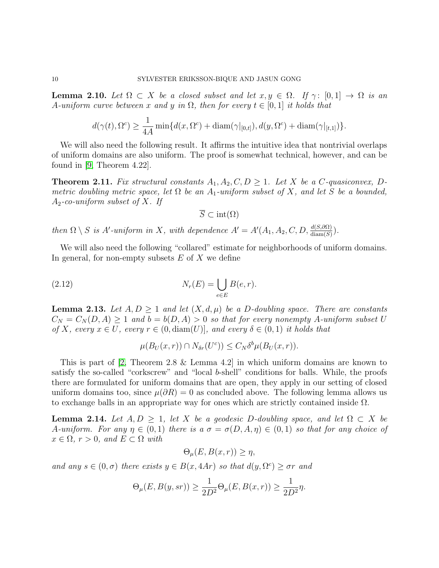<span id="page-9-1"></span>**Lemma 2.10.** Let  $\Omega \subset X$  be a closed subset and let  $x, y \in \Omega$ . If  $\gamma : [0,1] \to \Omega$  is an A-uniform curve between x and y in  $\Omega$ , then for every  $t \in [0,1]$  it holds that

$$
d(\gamma(t), \Omega^c) \ge \frac{1}{4A} \min\{d(x, \Omega^c) + \operatorname{diam}(\gamma|_{[0,t]}), d(y, \Omega^c) + \operatorname{diam}(\gamma|_{[t,1]})\}.
$$

We will also need the following result. It affirms the intuitive idea that nontrivial overlaps of uniform domains are also uniform. The proof is somewhat technical, however, and can be found in [\[9,](#page-25-1) Theorem 4.22].

<span id="page-9-3"></span>**Theorem 2.11.** Fix structural constants  $A_1, A_2, C, D \geq 1$ . Let X be a C-quasiconvex, Dmetric doubling metric space, let  $\Omega$  be an  $A_1$ -uniform subset of X, and let S be a bounded,  $A_2$ -co-uniform subset of X. If

$$
\overline{S} \subset \text{int}(\Omega)
$$

then  $\Omega \setminus S$  is A'-uniform in X, with dependence  $A' = A'(A_1, A_2, C, D, \frac{d(S, \partial \Omega)}{diam(S)})$ .

We will also need the following "collared" estimate for neighborhoods of uniform domains. In general, for non-empty subsets  $E$  of  $X$  we define

(2.12) 
$$
N_r(E) = \bigcup_{e \in E} B(e, r).
$$

<span id="page-9-0"></span>**Lemma 2.13.** Let  $A, D \geq 1$  and let  $(X, d, \mu)$  be a D-doubling space. There are constants  $C_N = C_N(D, A) \ge 1$  and  $b = b(D, A) > 0$  so that for every nonempty A-uniform subset U of X, every  $x \in U$ , every  $r \in (0, \text{diam}(U))$ , and every  $\delta \in (0, 1)$  it holds that

$$
\mu(B_U(x,r)) \cap N_{\delta r}(U^c) \le C_N \delta^b \mu(B_U(x,r)).
$$

This is part of [\[2,](#page-25-8) Theorem 2.8 & Lemma 4.2] in which uniform domains are known to satisfy the so-called "corkscrew" and "local b-shell" conditions for balls. While, the proofs there are formulated for uniform domains that are open, they apply in our setting of closed uniform domains too, since  $\mu(\partial R) = 0$  as concluded above. The following lemma allows us to exchange balls in an appropriate way for ones which are strictly contained inside  $\Omega$ .

<span id="page-9-2"></span>**Lemma 2.14.** Let  $A, D \geq 1$ , let X be a geodesic D-doubling space, and let  $\Omega \subset X$  be A-uniform. For any  $\eta \in (0,1)$  there is a  $\sigma = \sigma(D, A, \eta) \in (0,1)$  so that for any choice of  $x \in \Omega$ ,  $r > 0$ , and  $E \subset \Omega$  with

$$
\Theta_{\mu}(E, B(x, r)) \ge \eta,
$$

and any  $s \in (0, \sigma)$  there exists  $y \in B(x, 4Ar)$  so that  $d(y, \Omega^c) \geq \sigma r$  and

$$
\Theta_{\mu}(E, B(y, sr)) \ge \frac{1}{2D^2} \Theta_{\mu}(E, B(x, r)) \ge \frac{1}{2D^2} \eta.
$$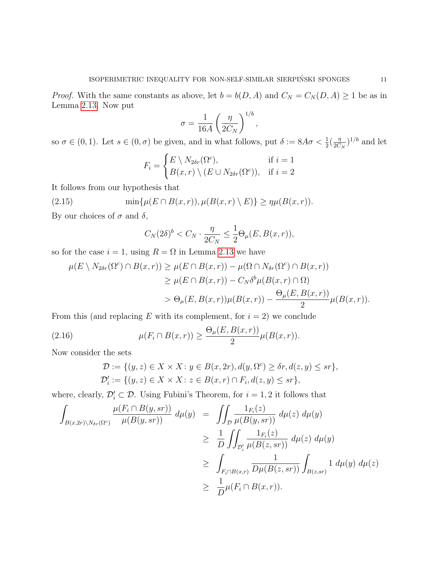*Proof.* With the same constants as above, let  $b = b(D, A)$  and  $C_N = C_N(D, A) \ge 1$  be as in Lemma [2.13.](#page-9-0) Now put

$$
\sigma = \frac{1}{16A} \left( \frac{\eta}{2C_N} \right)^{1/b},
$$

so  $\sigma \in (0,1)$ . Let  $s \in (0, \sigma)$  be given, and in what follows, put  $\delta := 8A\sigma < \frac{1}{2}(\frac{\eta}{2C})$  $\frac{\eta}{2C_N})^{1/b}$  and let

$$
F_i = \begin{cases} E \setminus N_{2\delta r}(\Omega^c), & \text{if } i = 1\\ B(x, r) \setminus (E \cup N_{2\delta r}(\Omega^c)), & \text{if } i = 2 \end{cases}
$$

It follows from our hypothesis that

(2.15) 
$$
\min\{\mu(E \cap B(x,r)), \mu(B(x,r) \setminus E)\} \geq \eta \mu(B(x,r)).
$$

By our choices of  $\sigma$  and  $\delta$ ,

$$
C_N(2\delta)^b < C_N \cdot \frac{\eta}{2C_N} \le \frac{1}{2} \Theta_\mu(E, B(x, r)),
$$

so for the case  $i = 1$ , using  $R = \Omega$  in Lemma [2.13](#page-9-0) we have

$$
\mu(E \setminus N_{2\delta r}(\Omega^c) \cap B(x,r)) \ge \mu(E \cap B(x,r)) - \mu(\Omega \cap N_{\delta r}(\Omega^c) \cap B(x,r))
$$
  
\n
$$
\ge \mu(E \cap B(x,r)) - C_N \delta^b \mu(B(x,r) \cap \Omega)
$$
  
\n
$$
> \Theta_{\mu}(E, B(x,r)) \mu(B(x,r)) - \frac{\Theta_{\mu}(E, B(x,r))}{2} \mu(B(x,r)).
$$

From this (and replacing E with its complement, for  $i = 2$ ) we conclude

(2.16) 
$$
\mu(F_i \cap B(x,r)) \ge \frac{\Theta_{\mu}(E, B(x,r))}{2} \mu(B(x,r)).
$$

Now consider the sets

<span id="page-10-0"></span>
$$
\mathcal{D} := \{(y, z) \in X \times X : y \in B(x, 2r), d(y, \Omega^c) \ge \delta r, d(z, y) \le sr\},\
$$
  

$$
\mathcal{D}'_i := \{(y, z) \in X \times X : z \in B(x, r) \cap F_i, d(z, y) \le sr\},\
$$

where, clearly,  $\mathcal{D}'_i \subset \mathcal{D}$ . Using Fubini's Theorem, for  $i = 1, 2$  it follows that

$$
\int_{B(x,2r)\backslash N_{\delta r}(\Omega^c)} \frac{\mu(F_i \cap B(y,sr))}{\mu(B(y,sr))} d\mu(y) = \int \int_{\mathcal{D}} \frac{1_{F_i}(z)}{\mu(B(y,sr))} d\mu(z) d\mu(y)
$$
\n
$$
\geq \frac{1}{D} \int \int_{\mathcal{D}'_i} \frac{1_{F_i}(z)}{\mu(B(z,sr))} d\mu(z) d\mu(y)
$$
\n
$$
\geq \int_{F_i \cap B(x,r)} \frac{1}{D\mu(B(z,sr))} \int_{B(z,sr)} 1 d\mu(y) d\mu(z)
$$
\n
$$
\geq \frac{1}{D} \mu(F_i \cap B(x,r)).
$$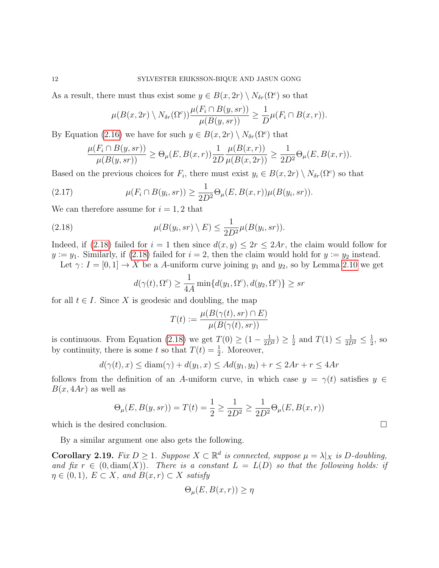As a result, there must thus exist some  $y \in B(x, 2r) \setminus N_{\delta r}(\Omega^c)$  so that

$$
\mu(B(x,2r)\setminus N_{\delta r}(\Omega^c))\frac{\mu(F_i\cap B(y,sr))}{\mu(B(y,sr))}\geq \frac{1}{D}\mu(F_i\cap B(x,r)).
$$

By Equation [\(2.16\)](#page-10-0) we have for such  $y \in B(x, 2r) \setminus N_{\delta r}(\Omega^c)$  that

$$
\frac{\mu(F_i \cap B(y, sr))}{\mu(B(y, sr))} \ge \Theta_{\mu}(E, B(x, r)) \frac{1}{2D} \frac{\mu(B(x, r))}{\mu(B(x, 2r))} \ge \frac{1}{2D^2} \Theta_{\mu}(E, B(x, r)).
$$

Based on the previous choices for  $F_i$ , there must exist  $y_i \in B(x, 2r) \setminus N_{\delta r}(\Omega^c)$  so that

(2.17) 
$$
\mu(F_i \cap B(y_i, sr)) \ge \frac{1}{2D^2} \Theta_{\mu}(E, B(x, r)) \mu(B(y_i, sr)).
$$

We can therefore assume for  $i = 1, 2$  that

(2.18) 
$$
\mu(B(y_i, sr) \setminus E) \leq \frac{1}{2D^2} \mu(B(y_i, sr)).
$$

Indeed, if [\(2.18\)](#page-11-0) failed for  $i = 1$  then since  $d(x, y) \leq 2r \leq 2Ar$ , the claim would follow for  $y := y_1$ . Similarly, if [\(2.18\)](#page-11-0) failed for  $i = 2$ , then the claim would hold for  $y := y_2$  instead.

Let  $\gamma: I = [0, 1] \to X$  be a A-uniform curve joining  $y_1$  and  $y_2$ , so by Lemma [2.10](#page-9-1) we get

<span id="page-11-0"></span>
$$
d(\gamma(t), \Omega^c) \ge \frac{1}{4A} \min\{d(y_1, \Omega^c), d(y_2, \Omega^c)\} \ge sr
$$

for all  $t \in I$ . Since X is geodesic and doubling, the map

$$
T(t) := \frac{\mu(B(\gamma(t), sr) \cap E)}{\mu(B(\gamma(t), sr))}
$$

is continuous. From Equation [\(2.18\)](#page-11-0) we get  $T(0) \geq (1 - \frac{1}{2D^2}) \geq \frac{1}{2}$  $\frac{1}{2}$  and  $T(1) \leq \frac{1}{2D^2} \leq \frac{1}{2}$  $\frac{1}{2}$ , so by continuity, there is some t so that  $T(t) = \frac{1}{2}$ . Moreover,

$$
d(\gamma(t),x) \le \text{diam}(\gamma) + d(y_1,x) \le Ad(y_1,y_2) + r \le 2Ar + r \le 4Ar
$$

follows from the definition of an A-uniform curve, in which case  $y = \gamma(t)$  satisfies  $y \in$  $B(x, 4Ar)$  as well as

$$
\Theta_{\mu}(E, B(y, sr)) = T(t) = \frac{1}{2} \ge \frac{1}{2D^2} \ge \frac{1}{2D^2} \Theta_{\mu}(E, B(x, r))
$$

which is the desired conclusion.

By a similar argument one also gets the following.

<span id="page-11-1"></span>**Corollary 2.19.** Fix  $D \geq 1$ . Suppose  $X \subset \mathbb{R}^d$  is connected, suppose  $\mu = \lambda | X$  is D-doubling, and fix  $r \in (0, \text{diam}(X))$ . There is a constant  $L = L(D)$  so that the following holds: if  $\eta \in (0,1)$ ,  $E \subset X$ , and  $B(x,r) \subset X$  satisfy

$$
\Theta_{\mu}(E, B(x, r)) \ge \eta
$$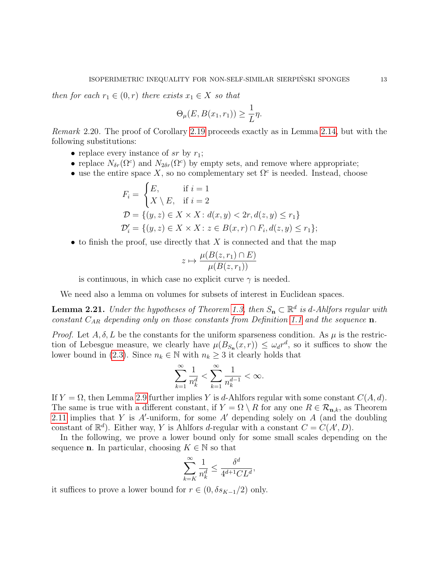then for each  $r_1 \in (0,r)$  there exists  $x_1 \in X$  so that

$$
\Theta_{\mu}(E, B(x_1, r_1)) \ge \frac{1}{L}\eta.
$$

Remark 2.20. The proof of Corollary [2.19](#page-11-1) proceeds exactly as in Lemma [2.14,](#page-9-2) but with the following substitutions:

- replace every instance of sr by  $r_1$ ;
- replace  $N_{\delta r}(\Omega^c)$  and  $N_{2\delta r}(\Omega^c)$  by empty sets, and remove where appropriate;
- use the entire space X, so no complementary set  $\Omega^c$  is needed. Instead, choose

$$
F_i = \begin{cases} E, & \text{if } i = 1 \\ X \setminus E, & \text{if } i = 2 \end{cases}
$$
\n
$$
\mathcal{D} = \{(y, z) \in X \times X : d(x, y) < 2r, d(z, y) \le r_1\}
$$
\n
$$
\mathcal{D}'_i = \{(y, z) \in X \times X : z \in B(x, r) \cap F_i, d(z, y) \le r_1\};
$$

• to finish the proof, use directly that X is connected and that the map

$$
z \mapsto \frac{\mu(B(z, r_1) \cap E)}{\mu(B(z, r_1))}
$$

is continuous, in which case no explicit curve  $\gamma$  is needed.

We need also a lemma on volumes for subsets of interest in Euclidean spaces.

<span id="page-12-0"></span>**Lemma 2.21.** Under the hypotheses of Theorem [1.3,](#page-3-0) then  $S_n \subset \mathbb{R}^d$  is d-Ahlfors regular with constant  $C_{AR}$  depending only on those constants from Definition [1.1](#page-2-0) and the sequence **n**.

*Proof.* Let  $A, \delta, L$  be the constants for the uniform sparseness condition. As  $\mu$  is the restriction of Lebesgue measure, we clearly have  $\mu(B_{S_n}(x,r)) \leq \omega_d r^d$ , so it suffices to show the lower bound in [\(2.3\)](#page-6-3). Since  $n_k \in \mathbb{N}$  with  $n_k \geq 3$  it clearly holds that

$$
\sum_{k=1}^\infty \frac{1}{n_k^d} < \sum_{k=1}^\infty \frac{1}{n_k^{d-1}} < \infty.
$$

If  $Y = \Omega$ , then Lemma [2.9](#page-8-1) further implies Y is d-Ahlfors regular with some constant  $C(A, d)$ . The same is true with a different constant, if  $Y = \Omega \setminus R$  for any one  $R \in \mathcal{R}_{n,k}$ , as Theorem [2.11](#page-9-3) implies that Y is A'-uniform, for some A' depending solely on  $A$  (and the doubling constant of  $\mathbb{R}^d$ ). Either way, Y is Ahlfors d-regular with a constant  $C = C(A', D)$ .

In the following, we prove a lower bound only for some small scales depending on the sequence **n**. In particular, choosing  $K \in \mathbb{N}$  so that

$$
\sum_{k=K}^{\infty} \frac{1}{n_k^d} \le \frac{\delta^d}{4^{d+1}CL^d},
$$

it suffices to prove a lower bound for  $r \in (0, \delta s_{K-1}/2)$  only.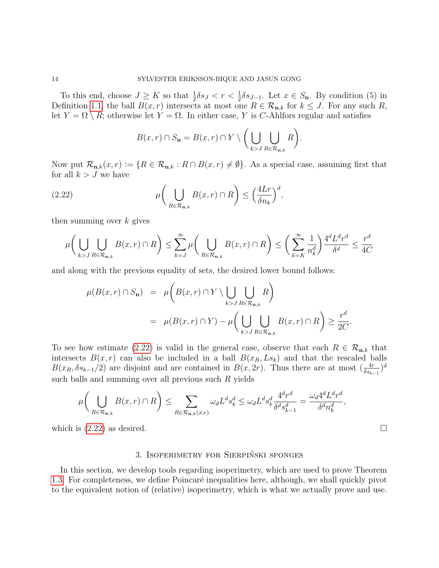To this end, choose  $J \geq K$  so that  $\frac{1}{2}\delta s_J < r < \frac{1}{2}\delta s_{J-1}$ . Let  $x \in S_n$ . By condition (5) in Definition [1.1,](#page-2-0) the ball  $B(x, r)$  intersects at most one  $R \in \mathcal{R}_{n,k}$  for  $k \leq J$ . For any such R, let  $Y = \Omega \setminus R$ ; otherwise let  $Y = \Omega$ . In either case, Y is C-Ahlfors regular and satisfies

<span id="page-13-1"></span>
$$
B(x,r) \cap S_{\mathbf{n}} = B(x,r) \cap Y \setminus \left(\bigcup_{k>J} \bigcup_{R \in \mathcal{R}_{\mathbf{n},k}} R\right).
$$

Now put  $\mathcal{R}_{\mathbf{n},k}(x,r) := \{R \in \mathcal{R}_{\mathbf{n},k} : R \cap B(x,r) \neq \emptyset\}$ . As a special case, assuming first that for all  $k > J$  we have

(2.22) 
$$
\mu\bigg(\bigcup_{R\in\mathcal{R}_{\mathbf{n},k}}B(x,r)\cap R\bigg)\leq \Big(\frac{4Lr}{\delta n_k}\Big)^d,
$$

then summing over  $k$  gives

$$
\mu\bigg(\bigcup_{k>J} \bigcup_{R\in\mathcal{R}_{\mathbf{n},k}} B(x,r)\cap R\bigg) \le \sum_{k=J}^\infty \mu\bigg(\bigcup_{R\in\mathcal{R}_{\mathbf{n},k}} B(x,r)\cap R\bigg) \le \bigg(\sum_{k=K}^\infty \frac{1}{n_k^d}\bigg)\frac{4^d L^d r^d}{\delta^d} \le \frac{r^d}{4C}
$$

and along with the previous equality of sets, the desired lower bound follows:

$$
\mu(B(x,r) \cap S_{\mathbf{n}}) = \mu\left(B(x,r) \cap Y \setminus \bigcup_{k>J} \bigcup_{R \in \mathcal{R}_{\mathbf{n},k}} R\right)
$$
  
= 
$$
\mu(B(x,r) \cap Y) - \mu\left(\bigcup_{k>J} \bigcup_{R \in \mathcal{R}_{\mathbf{n},k}} B(x,r) \cap R\right) \ge \frac{r^d}{2C}.
$$

To see how estimate [\(2.22\)](#page-13-1) is valid in the general case, observe that each  $R \in \mathcal{R}_{n,k}$  that intersects  $B(x, r)$  can also be included in a ball  $B(x_R, Ls_k)$  and that the rescaled balls  $B(x_R, \delta s_{k-1}/2)$  are disjoint and are contained in  $B(x, 2r)$ . Thus there are at most  $(\frac{4r}{\delta s_{k-1}})^d$ such balls and summing over all previous such R yields

$$
\mu\bigg(\bigcup_{R\in\mathcal{R}_{\mathbf{n},k}}B(x,r)\cap R\bigg)\leq \sum_{R\in\mathcal{R}_{\mathbf{n},k}(x,r)}\omega_dL^ds_k^d\leq \omega_dL^ds_k^d\frac{4^dr^d}{\delta^ds_{k-1}^d}=\frac{\omega_d4^dL^dr^d}{\delta^dn_k^d},
$$

which is  $(2.22)$  as desired.

# 3. Isoperimetry for Sierpinski sponges ´

<span id="page-13-0"></span>In this section, we develop tools regarding isoperimetry, which are used to prove Theorem [1.3.](#page-3-0) For completeness, we define Poincaré inequalities here, although, we shall quickly pivot to the equivalent notion of (relative) isoperimetry, which is what we actually prove and use.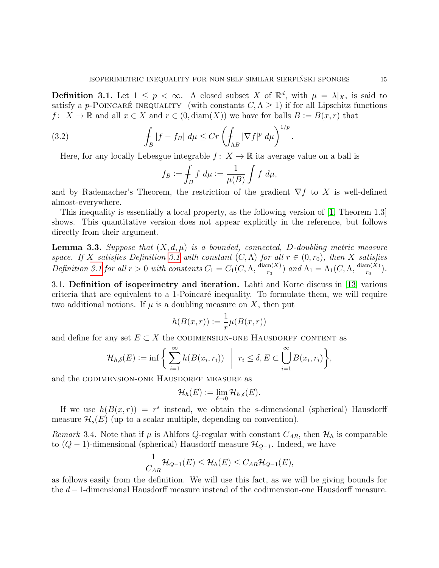<span id="page-14-0"></span>**Definition 3.1.** Let  $1 \leq p < \infty$ . A closed subset X of  $\mathbb{R}^d$ , with  $\mu = \lambda |_{X}$ , is said to satisfy a p-POINCARÉ INEQUALITY (with constants  $C, \Lambda \geq 1$ ) if for all Lipschitz functions f:  $X \to \mathbb{R}$  and all  $x \in X$  and  $r \in (0, \text{diam}(X))$  we have for balls  $B := B(x, r)$  that

(3.2) 
$$
\int_B |f - f_B| \, d\mu \le Cr \left( \int_{\Lambda B} |\nabla f|^p \, d\mu \right)^{1/p}.
$$

Here, for any locally Lebesgue integrable  $f: X \to \mathbb{R}$  its average value on a ball is

$$
f_B := \int_B f \ d\mu := \frac{1}{\mu(B)} \int f \ d\mu,
$$

and by Rademacher's Theorem, the restriction of the gradient  $\nabla f$  to X is well-defined almost-everywhere.

This inequality is essentially a local property, as the following version of [\[1,](#page-25-9) Theorem 1.3] shows. This quantitative version does not appear explicitly in the reference, but follows directly from their argument.

<span id="page-14-1"></span>**Lemma 3.3.** Suppose that  $(X, d, \mu)$  is a bounded, connected, D-doubling metric measure space. If X satisfies Definition [3.1](#page-14-0) with constant  $(C, \Lambda)$  for all  $r \in (0, r_0)$ , then X satisfies Definition [3.1](#page-14-0) for all  $r > 0$  with constants  $C_1 = C_1(C, \Lambda, \frac{\text{diam}(X)}{r_0})$  $\binom{m(X)}{r_0}$  and  $\Lambda_1 = \Lambda_1(C, \Lambda, \frac{\text{diam}(X)}{r_0})$  $\frac{m(X)}{r_0}$ ).

3.1. Definition of isoperimetry and iteration. Lahti and Korte discuss in [\[13\]](#page-26-6) various criteria that are equivalent to a 1-Poincaré inequality. To formulate them, we will require two additional notions. If  $\mu$  is a doubling measure on X, then put

$$
h(B(x,r)) := \frac{1}{r}\mu(B(x,r))
$$

and define for any set  $E \subset X$  the CODIMENSION-ONE HAUSDORFF CONTENT as

$$
\mathcal{H}_{h,\delta}(E) := \inf \Bigg\{ \sum_{i=1}^{\infty} h(B(x_i,r_i)) \mid r_i \leq \delta, E \subset \bigcup_{i=1}^{\infty} B(x_i,r_i) \Bigg\},\
$$

and the CODIMENSION-ONE HAUSDORFF MEASURE as

$$
\mathcal{H}_h(E) := \lim_{\delta \to 0} \mathcal{H}_{h,\delta}(E).
$$

If we use  $h(B(x, r)) = r<sup>s</sup>$  instead, we obtain the s-dimensional (spherical) Hausdorff measure  $\mathcal{H}_s(E)$  (up to a scalar multiple, depending on convention).

<span id="page-14-2"></span>Remark 3.4. Note that if  $\mu$  is Ahlfors Q-regular with constant  $C_{AR}$ , then  $\mathcal{H}_h$  is comparable to  $(Q-1)$ -dimensional (spherical) Hausdorff measure  $\mathcal{H}_{Q-1}$ . Indeed, we have

$$
\frac{1}{C_{AR}}\mathcal{H}_{Q-1}(E) \leq \mathcal{H}_h(E) \leq C_{AR}\mathcal{H}_{Q-1}(E),
$$

as follows easily from the definition. We will use this fact, as we will be giving bounds for the d−1-dimensional Hausdorff measure instead of the codimension-one Hausdorff measure.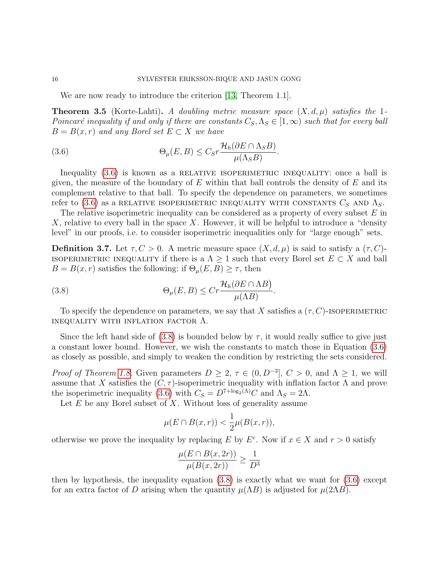We are now ready to introduce the criterion [\[13,](#page-26-6) Theorem 1.1].

<span id="page-15-0"></span>**Theorem 3.5** (Korte-Lahti). A doubling metric measure space  $(X, d, \mu)$  satisfies the 1-Poincaré inequality if and only if there are constants  $C_S, \Lambda_S \in [1,\infty)$  such that for every ball  $B = B(x, r)$  and any Borel set  $E \subset X$  we have

<span id="page-15-2"></span>(3.6) 
$$
\Theta_{\mu}(E,B) \leq C_{S} r \frac{\mathcal{H}_{h}(\partial E \cap \Lambda_{S}B)}{\mu(\Lambda_{S}B)}.
$$

Inequality  $(3.6)$  is known as a RELATIVE ISOPERIMETRIC INEQUALITY: once a ball is given, the measure of the boundary of  $E$  within that ball controls the density of  $E$  and its complement relative to that ball. To specify the dependence on parameters, we sometimes refer to [\(3.6\)](#page-15-2) as a RELATIVE ISOPERIMETRIC INEQUALITY WITH CONSTANTS  $C_S$  and  $\Lambda_S$ .

The relative isoperimetric inequality can be considered as a property of every subset  $E$  in X, relative to every ball in the space X. However, it will be helpful to introduce a "density" level" in our proofs, i.e. to consider isoperimetric inequalities only for "large enough" sets.

<span id="page-15-1"></span>**Definition 3.7.** Let  $\tau, C > 0$ . A metric measure space  $(X, d, \mu)$  is said to satisfy a  $(\tau, C)$ -ISOPERIMETRIC INEQUALITY if there is a  $\Lambda \geq 1$  such that every Borel set  $E \subset X$  and ball  $B = B(x, r)$  satisfies the following: if  $\Theta_{\mu}(E, B) \geq \tau$ , then

<span id="page-15-3"></span>(3.8) 
$$
\Theta_{\mu}(E, B) \leq Cr \frac{\mathcal{H}_h(\partial E \cap \Lambda B)}{\mu(\Lambda B)}.
$$

To specify the dependence on parameters, we say that X satisfies a  $(\tau, C)$ -ISOPERIMETRIC INEQUALITY WITH INFLATION FACTOR  $\Lambda$ .

Since the left hand side of [\(3.8\)](#page-15-3) is bounded below by  $\tau$ , it would really suffice to give just a constant lower bound. However, we wish the constants to match those in Equation [\(3.6\)](#page-15-2) as closely as possible, and simply to weaken the condition by restricting the sets considered.

*Proof of Theorem [1.8.](#page-5-0)* Given parameters  $D \geq 2$ ,  $\tau \in (0, D^{-3}]$ ,  $C > 0$ , and  $\Lambda \geq 1$ , we will assume that X satisfies the  $(C, \tau)$ -isoperimetric inequality with inflation factor  $\Lambda$  and prove the isoperimetric inequality [\(3.6\)](#page-15-2) with  $C_S = D^{7 + \log_2(\Lambda)}C$  and  $\Lambda_S = 2\Lambda$ .

Let  $E$  be any Borel subset of  $X$ . Without loss of generality assume

$$
\mu(E \cap B(x,r)) < \frac{1}{2}\mu(B(x,r)),
$$

otherwise we prove the inequality by replacing E by  $E^c$ . Now if  $x \in X$  and  $r > 0$  satisfy

$$
\frac{\mu(E \cap B(x, 2r))}{\mu(B(x, 2r))} \ge \frac{1}{D^3}
$$

then by hypothesis, the inequality equation  $(3.8)$  is exactly what we want for  $(3.6)$  except for an extra factor of D arising when the quantity  $\mu(\Lambda B)$  is adjusted for  $\mu(2\Lambda B)$ .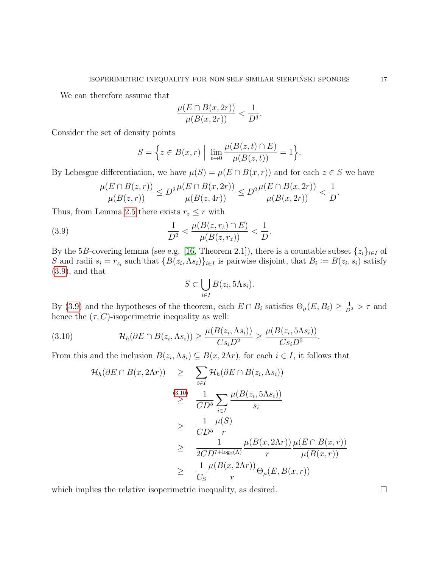We can therefore assume that

$$
\frac{\mu(E \cap B(x, 2r))}{\mu(B(x, 2r))} < \frac{1}{D^3}.
$$

Consider the set of density points

$$
S = \Big\{ z \in B(x,r) \ \Big| \ \lim_{t \to 0} \frac{\mu(B(z,t) \cap E)}{\mu(B(z,t))} = 1 \Big\}.
$$

By Lebesgue differentiation, we have  $\mu(S) = \mu(E \cap B(x, r))$  and for each  $z \in S$  we have

$$
\frac{\mu(E \cap B(z,r))}{\mu(B(z,r))} \le D^2 \frac{\mu(E \cap B(x,2r))}{\mu(B(z,4r))} \le D^2 \frac{\mu(E \cap B(x,2r))}{\mu(B(x,2r))} < \frac{1}{D}.
$$

Thus, from Lemma [2.5](#page-7-0) there exists  $r_z \leq r$  with

(3.9) 
$$
\frac{1}{D^2} < \frac{\mu(B(z, r_z) \cap E)}{\mu(B(z, r_z))} < \frac{1}{D}.
$$

By the 5B-covering lemma (see e.g. [\[16,](#page-26-9) Theorem 2.1]), there is a countable subset  $\{z_i\}_{i\in I}$  of S and radii  $s_i = r_{z_i}$  such that  $\{B(z_i, \Lambda s_i)\}_{i \in I}$  is pairwise disjoint, that  $B_i := B(z_i, s_i)$  satisfy  $(3.9)$ , and that

<span id="page-16-0"></span>
$$
S \subset \bigcup_{i \in I} B(z_i, 5\Lambda s_i).
$$

By [\(3.9\)](#page-16-0) and the hypotheses of the theorem, each  $E \cap B_i$  satisfies  $\Theta_{\mu}(E, B_i) \geq \frac{1}{D^2} > \tau$  and hence the  $(\tau, C)$ -isoperimetric inequality as well:

(3.10) 
$$
\mathcal{H}_h(\partial E \cap B(z_i, \Lambda s_i)) \geq \frac{\mu(B(z_i, \Lambda s_i))}{Cs_i D^2} \geq \frac{\mu(B(z_i, 5\Lambda s_i))}{Cs_i D^5}.
$$

From this and the inclusion  $B(z_i, \Lambda s_i) \subseteq B(x, 2\Lambda r)$ , for each  $i \in I$ , it follows that

<span id="page-16-1"></span>
$$
\mathcal{H}_h(\partial E \cap B(x, 2\Lambda r)) \geq \sum_{i \in I} \mathcal{H}_h(\partial E \cap B(z_i, \Lambda s_i))
$$
  
\n
$$
\geq \frac{1}{CD^5} \sum_{i \in I} \frac{\mu(B(z_i, 5\Lambda s_i))}{s_i}
$$
  
\n
$$
\geq \frac{1}{CD^5} \frac{\mu(S)}{r}
$$
  
\n
$$
\geq \frac{1}{2CD^{7 + \log_2(\Lambda)}} \frac{\mu(B(x, 2\Lambda r))}{r} \frac{\mu(E \cap B(x, r))}{\mu(B(x, r))}
$$
  
\n
$$
\geq \frac{1}{C_S} \frac{\mu(B(x, 2\Lambda r))}{r} \Theta_{\mu}(E, B(x, r))
$$

which implies the relative isoperimetric inequality, as desired.  $\square$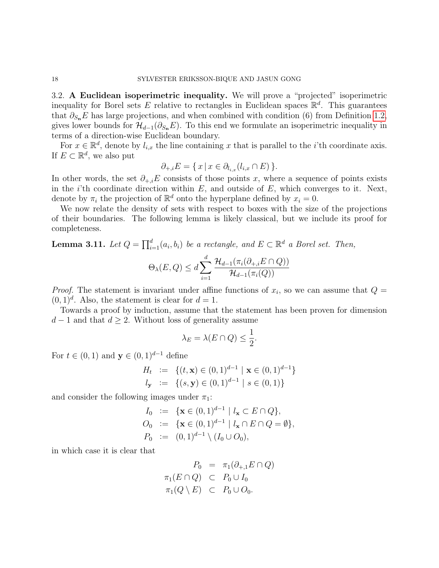#### 18 SYLVESTER ERIKSSON-BIQUE AND JASUN GONG

3.2. A Euclidean isoperimetric inequality. We will prove a "projected" isoperimetric inequality for Borel sets E relative to rectangles in Euclidean spaces  $\mathbb{R}^d$ . This guarantees that  $\partial_{S_n} E$  has large projections, and when combined with condition (6) from Definition [1.2,](#page-2-1) gives lower bounds for  $\mathcal{H}_{d-1}(\partial_{S_n} E)$ . To this end we formulate an isoperimetric inequality in terms of a direction-wise Euclidean boundary.

For  $x \in \mathbb{R}^d$ , denote by  $l_{i,x}$  the line containing x that is parallel to the *i*'th coordinate axis. If  $E \subset \mathbb{R}^d$ , we also put

$$
\partial_{+,i}E = \{ x \mid x \in \partial_{l_{i,x}}(l_{i,x} \cap E) \}.
$$

In other words, the set  $\partial_{+,i}E$  consists of those points x, where a sequence of points exists in the *i*'th coordinate direction within  $E$ , and outside of  $E$ , which converges to it. Next, denote by  $\pi_i$  the projection of  $\mathbb{R}^d$  onto the hyperplane defined by  $x_i = 0$ .

We now relate the density of sets with respect to boxes with the size of the projections of their boundaries. The following lemma is likely classical, but we include its proof for completeness.

<span id="page-17-0"></span>**Lemma 3.11.** Let  $Q = \prod_{i=1}^{d} (a_i, b_i)$  be a rectangle, and  $E \subset \mathbb{R}^d$  a Borel set. Then,

$$
\Theta_{\lambda}(E,Q) \le d \sum_{i=1}^{d} \frac{\mathcal{H}_{d-1}(\pi_i(\partial_{+,i}E \cap Q))}{\mathcal{H}_{d-1}(\pi_i(Q))}
$$

*Proof.* The statement is invariant under affine functions of  $x_i$ , so we can assume that  $Q =$  $(0, 1)<sup>d</sup>$ . Also, the statement is clear for  $d = 1$ .

Towards a proof by induction, assume that the statement has been proven for dimension  $d-1$  and that  $d \geq 2$ . Without loss of generality assume

$$
\lambda_E = \lambda(E \cap Q) \le \frac{1}{2}.
$$

For  $t \in (0,1)$  and  $\mathbf{y} \in (0,1)^{d-1}$  define

$$
H_t := \{ (t, \mathbf{x}) \in (0, 1)^{d-1} \mid \mathbf{x} \in (0, 1)^{d-1} \}
$$
  

$$
l_{\mathbf{y}} := \{ (s, \mathbf{y}) \in (0, 1)^{d-1} \mid s \in (0, 1) \}
$$

and consider the following images under  $\pi_1$ :

$$
I_0 := \{ \mathbf{x} \in (0,1)^{d-1} \mid l_{\mathbf{x}} \subset E \cap Q \},
$$
  
\n
$$
O_0 := \{ \mathbf{x} \in (0,1)^{d-1} \mid l_{\mathbf{x}} \cap E \cap Q = \emptyset \},
$$
  
\n
$$
P_0 := (0,1)^{d-1} \setminus (I_0 \cup O_0),
$$

in which case it is clear that

$$
P_0 = \pi_1(\partial_{+,1} E \cap Q)
$$
  

$$
\pi_1(E \cap Q) \subset P_0 \cup I_0
$$
  

$$
\pi_1(Q \setminus E) \subset P_0 \cup O_0.
$$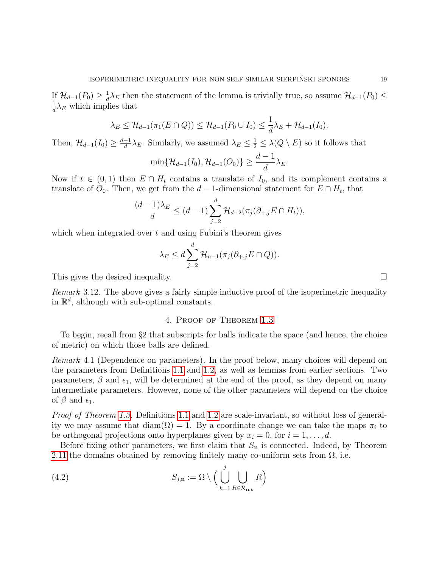If  $\mathcal{H}_{d-1}(P_0) \geq \frac{1}{d}$  $\frac{1}{d} \lambda_E$  then the statement of the lemma is trivially true, so assume  $\mathcal{H}_{d-1}(P_0) \leq$ 1  $\frac{1}{d} \lambda_E$  which implies that

$$
\lambda_E \leq \mathcal{H}_{d-1}(\pi_1(E \cap Q)) \leq \mathcal{H}_{d-1}(P_0 \cup I_0) \leq \frac{1}{d} \lambda_E + \mathcal{H}_{d-1}(I_0).
$$

Then,  $\mathcal{H}_{d-1}(I_0) \geq \frac{d-1}{d}$  $\frac{-1}{d}\lambda_E$ . Similarly, we assumed  $\lambda_E \leq \frac{1}{2} \leq \lambda(Q \setminus E)$  so it follows that

$$
\min\{\mathcal{H}_{d-1}(I_0), \mathcal{H}_{d-1}(O_0)\} \ge \frac{d-1}{d}\lambda_E.
$$

Now if  $t \in (0,1)$  then  $E \cap H_t$  contains a translate of  $I_0$ , and its complement contains a translate of  $O_0$ . Then, we get from the  $d-1$ -dimensional statement for  $E \cap H_t$ , that

$$
\frac{(d-1)\lambda_E}{d} \le (d-1) \sum_{j=2}^d \mathcal{H}_{d-2}(\pi_j(\partial_{+,j} E \cap H_t)),
$$

which when integrated over  $t$  and using Fubini's theorem gives

$$
\lambda_E \le d \sum_{j=2}^d \mathcal{H}_{n-1}(\pi_j(\partial_{+,j} E \cap Q)).
$$

This gives the desired inequality.

Remark 3.12. The above gives a fairly simple inductive proof of the isoperimetric inequality in  $\mathbb{R}^d$ , although with sub-optimal constants.

## 4. Proof of Theorem [1.3](#page-3-0)

<span id="page-18-0"></span>To begin, recall from §2 that subscripts for balls indicate the space (and hence, the choice of metric) on which those balls are defined.

Remark 4.1 (Dependence on parameters). In the proof below, many choices will depend on the parameters from Definitions [1.1](#page-2-0) and [1.2,](#page-2-1) as well as lemmas from earlier sections. Two parameters,  $\beta$  and  $\epsilon_1$ , will be determined at the end of the proof, as they depend on many intermediate parameters. However, none of the other parameters will depend on the choice of  $\beta$  and  $\epsilon_1$ .

Proof of Theorem [1.3.](#page-3-0) Definitions [1.1](#page-2-0) and [1.2](#page-2-1) are scale-invariant, so without loss of generality we may assume that  $\text{diam}(\Omega) = 1$ . By a coordinate change we can take the maps  $\pi_i$  to be orthogonal projections onto hyperplanes given by  $x_i = 0$ , for  $i = 1, \ldots, d$ .

Before fixing other parameters, we first claim that  $S_n$  is connected. Indeed, by Theorem [2.11](#page-9-3) the domains obtained by removing finitely many co-uniform sets from  $\Omega$ , i.e.

<span id="page-18-1"></span>(4.2) 
$$
S_{j,\mathbf{n}} := \Omega \setminus \Big(\bigcup_{k=1}^j \bigcup_{R \in \mathcal{R}_{\mathbf{n},k}} R\Big)
$$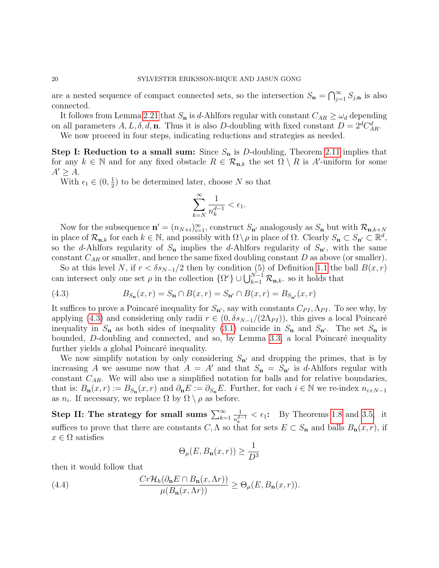are a nested sequence of compact connected sets, so the intersection  $S_n = \bigcap_{j=1}^{\infty} S_{j,n}$  is also connected.

It follows from Lemma [2.21](#page-12-0) that  $S_n$  is d-Ahlfors regular with constant  $C_{AR} \geq \omega_d$  depending on all parameters  $A, L, \delta, d, n$ . Thus it is also D-doubling with fixed constant  $D = 2^d C_{AR}^d$ .

We now proceed in four steps, indicating reductions and strategies as needed.

**Step I: Reduction to a small sum:** Since  $S_n$  is D-doubling, Theorem [2.11](#page-9-3) implies that for any  $k \in \mathbb{N}$  and for any fixed obstacle  $R \in \mathcal{R}_{n,k}$  the set  $\Omega \setminus R$  is A'-uniform for some  $A' \geq A$ .

With  $\epsilon_1 \in (0, \frac{1}{2})$  $\frac{1}{2}$ ) to be determined later, choose N so that

$$
\sum_{k=N}^{\infty}\frac{1}{n_k^{d-1}} < \epsilon_1.
$$

Now for the subsequence  $\mathbf{n}' = (n_{N+i})_{i=1}^{\infty}$ , construct  $S_{\mathbf{n}'}$  analogously as  $S_{\mathbf{n}}$  but with  $\mathcal{R}_{\mathbf{n},k+N}$ in place of  $\mathcal{R}_{n,k}$  for each  $k \in \mathbb{N}$ , and possibly with  $\Omega \setminus \rho$  in place of  $\Omega$ . Clearly  $S_n \subset S_{n'} \subset \mathbb{R}^d$ , so the d-Ahlfors regularity of  $S_n$  implies the d-Ahlfors regularity of  $S_{n'}$ , with the same constant  $C_{AR}$  or smaller, and hence the same fixed doubling constant D as above (or smaller).

So at this level N, if  $r < \delta s_{N-1}/2$  then by condition (5) of Definition [1.1](#page-2-0) the ball  $B(x, r)$ can intersect only one set  $\rho$  in the collection  $\{\Omega^c\} \cup \bigcup_{k=1}^{N-1} R_{n,k}$ . so it holds that

<span id="page-19-0"></span>(4.3) 
$$
B_{S_{n}}(x,r) = S_{n} \cap B(x,r) = S_{n'} \cap B(x,r) = B_{S_{n'}}(x,r)
$$

It suffices to prove a Poincaré inequality for  $S_{n'}$ , say with constants  $C_{PI}$ ,  $\Lambda_{PI}$ . To see why, by applying [\(4.3\)](#page-19-0) and considering only radii  $r \in (0, \delta s_{N-1}/(2\Lambda_{PI}))$ , this gives a local Poincaré inequality in  $S_n$  as both sides of inequality [\(3.1\)](#page-14-0) coincide in  $S_n$  and  $S_{n'}$ . The set  $S_n$  is bounded,  $D$ -doubling and connected, and so, by Lemma [3.3,](#page-14-1) a local Poincaré inequality further yields a global Poincaré inequality.

We now simplify notation by only considering  $S_{n}$  and dropping the primes, that is by increasing A we assume now that  $A = A'$  and that  $S_n = S_{n'}$  is d-Ahlfors regular with constant  $C_{AR}$ . We will also use a simplified notation for balls and for relative boundaries, that is:  $B_n(x,r) := B_{S_n}(x,r)$  and  $\partial_n E := \partial_{S_n} E$ . Further, for each  $i \in \mathbb{N}$  we re-index  $n_{i+N-1}$ as  $n_i$ . If necessary, we replace  $\Omega$  by  $\Omega \setminus \rho$  as before.

Step II: The strategy for small sums  $\sum_{k=1}^{\infty}$ 1  $\frac{1}{n_k^{d-1}} < \epsilon_1$ : By Theorems [1.8](#page-5-0) and [3.5,](#page-15-0) it suffices to prove that there are constants  $C, \Lambda$  so that for sets  $E \subset S_n$  and balls  $B_n(x, r)$ , if  $x \in \Omega$  satisfies

<span id="page-19-1"></span>
$$
\Theta_{\mu}(E, B_{\mathbf{n}}(x, r)) \ge \frac{1}{D^3}
$$

then it would follow that

(4.4) 
$$
\frac{Cr\mathcal{H}_h(\partial_{\mathbf{n}}E \cap B_{\mathbf{n}}(x,\Lambda r))}{\mu(B_{\mathbf{n}}(x,\Lambda r))} \geq \Theta_{\mu}(E, B_{\mathbf{n}}(x,r)).
$$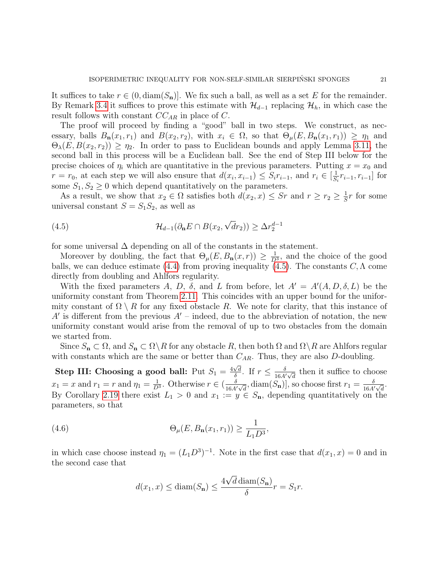It suffices to take  $r \in (0, \text{diam}(S_n))$ . We fix such a ball, as well as a set E for the remainder. By Remark [3.4](#page-14-2) it suffices to prove this estimate with  $\mathcal{H}_{d-1}$  replacing  $\mathcal{H}_h$ , in which case the result follows with constant  $CC_{AR}$  in place of C.

The proof will proceed by finding a "good" ball in two steps. We construct, as necessary, balls  $B_n(x_1, r_1)$  and  $B(x_2, r_2)$ , with  $x_i \in \Omega$ , so that  $\Theta_\mu(E, B_n(x_1, r_1)) \geq \eta_1$  and  $\Theta_{\lambda}(E, B(x_2, r_2)) \geq \eta_2$ . In order to pass to Euclidean bounds and apply Lemma [3.11,](#page-17-0) the second ball in this process will be a Euclidean ball. See the end of Step III below for the precise choices of  $\eta_i$  which are quantitative in the previous parameters. Putting  $x = x_0$  and  $r = r_0$ , at each step we will also ensure that  $d(x_i, x_{i-1}) \leq S_i r_{i-1}$ , and  $r_i \in [\frac{1}{S_i}]$  $\frac{1}{S_i}r_{i-1}, r_{i-1}]$  for some  $S_1, S_2 \geq 0$  which depend quantitatively on the parameters.

As a result, we show that  $x_2 \in \Omega$  satisfies both  $d(x_2, x) \leq Sr$  and  $r \geq r_2 \geq \frac{1}{S}$  $\frac{1}{S}r$  for some universal constant  $S = S_1S_2$ , as well as

<span id="page-20-0"></span>(4.5) 
$$
\mathcal{H}_{d-1}(\partial_{\mathbf{n}}E \cap B(x_2, \sqrt{d}r_2)) \geq \Delta r_2^{d-1}
$$

for some universal  $\Delta$  depending on all of the constants in the statement.

Moreover by doubling, the fact that  $\Theta_{\mu}(E, B_{n}(x,r)) \geq \frac{1}{D}$  $\frac{1}{D^3}$ , and the choice of the good balls, we can deduce estimate [\(4.4\)](#page-19-1) from proving inequality [\(4.5\)](#page-20-0). The constants  $C, \Lambda$  come directly from doubling and Ahlfors regularity.

With the fixed parameters A, D,  $\delta$ , and L from before, let  $A' = A'(A, D, \delta, L)$  be the uniformity constant from Theorem [2.11.](#page-9-3) This coincides with an upper bound for the uniformity constant of  $\Omega \setminus R$  for any fixed obstacle R. We note for clarity, that this instance of  $A'$  is different from the previous  $A'$  – indeed, due to the abbreviation of notation, the new uniformity constant would arise from the removal of up to two obstacles from the domain we started from.

Since  $S_n \subset \Omega$ , and  $S_n \subset \Omega \backslash R$  for any obstacle R, then both  $\Omega$  and  $\Omega \backslash R$  are Ahlfors regular with constants which are the same or better than  $C_{AR}$ . Thus, they are also D-doubling.

**Step III: Choosing a good ball:** Put  $S_1 = \frac{4\sqrt{d}}{\delta}$  $\frac{\sqrt{d}}{\delta}$ . If  $r \leq \frac{\delta}{16A'}$  $\frac{\delta}{16A'\sqrt{d}}$  then it suffice to choose  $x_1 = x$  and  $r_1 = r$  and  $\eta_1 = \frac{1}{D}$  $\frac{1}{D^3}$ . Otherwise  $r \in (\frac{\delta}{16A})$  $\frac{\delta}{16A'\sqrt{d}}$ , diam $(S_n)$ , so choose first  $r_1 = \frac{\delta}{16A'}$  $\frac{\delta}{16A'\sqrt{d}}$ . By Corollary [2.19](#page-11-1) there exist  $L_1 > 0$  and  $x_1 := y \in S_n$ , depending quantitatively on the parameters, so that

(4.6) 
$$
\Theta_{\mu}(E, B_{n}(x_{1}, r_{1})) \geq \frac{1}{L_{1}D^{3}},
$$

in which case choose instead  $\eta_1 = (L_1 D^3)^{-1}$ . Note in the first case that  $d(x_1, x) = 0$  and in the second case that

<span id="page-20-1"></span>
$$
d(x_1, x) \le \text{diam}(S_{\mathbf{n}}) \le \frac{4\sqrt{d}\dim(S_{\mathbf{n}})}{\delta}r = S_1r.
$$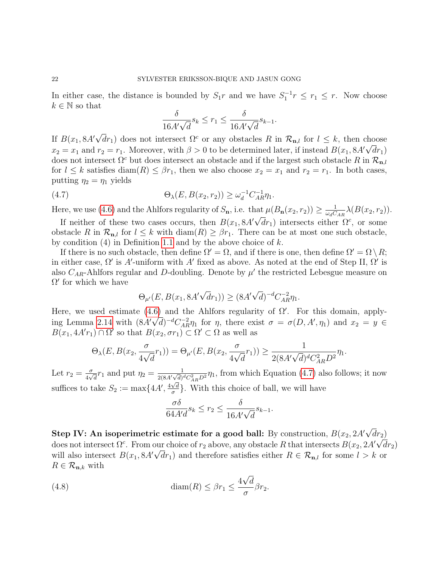In either case, the distance is bounded by  $S_1r$  and we have  $S_1^{-1}r \leq r_1 \leq r$ . Now choose  $k \in \mathbb{N}$  so that

<span id="page-21-0"></span>
$$
\frac{\delta}{16A'\sqrt{d}}s_k \le r_1 \le \frac{\delta}{16A'\sqrt{d}}s_{k-1}.
$$

If  $B(x_1, 8A)$ √  $\overline{d}r_1$ ) does not intersect  $\Omega^c$  or any obstacles R in  $\mathcal{R}_{n,l}$  for  $l \leq k$ , then choose  $x_2 = x_1$  and  $r_2 = r_1$ . Moreover, with  $\beta > 0$  to be determined later, if instead  $B(x_1, 8A'\sqrt{d}r_1)$ does not intersect  $\Omega^c$  but does intersect an obstacle and if the largest such obstacle R in  $\mathcal{R}_{n,l}$ for  $l \leq k$  satisfies diam(R)  $\leq \beta r_1$ , then we also choose  $x_2 = x_1$  and  $r_2 = r_1$ . In both cases, putting  $\eta_2 = \eta_1$  yields

(4.7) 
$$
\Theta_{\lambda}(E, B(x_2, r_2)) \geq \omega_d^{-1} C_{AR}^{-1} \eta_1.
$$

Here, we use [\(4.6\)](#page-20-1) and the Ahlfors regularity of  $S_n$ , i.e. that  $\mu(B_n(x_2, r_2)) \geq \frac{1}{\omega C}$  $\liminf_{\mathcal{A}} \mu(B_{\mathbf{n}}(x_2, r_2)) \geq \frac{1}{\omega_d C_{AR}} \lambda(B(x_2, r_2)).$ 

If neither of these two cases occurs, then  $B(x_1, 8A'\sqrt{d}r_1)$  intersects either  $\Omega^c$ , or some obstacle R in  $\mathcal{R}_{\mathbf{n},l}$  for  $l \leq k$  with  $\text{diam}(R) \geq \beta r_1$ . There can be at most one such obstacle, by condition  $(4)$  in Definition [1.1](#page-2-0) and by the above choice of k.

If there is no such obstacle, then define  $\Omega' = \Omega$ , and if there is one, then define  $\Omega' = \Omega \setminus R$ ; in either case,  $\Omega'$  is A'-uniform with A' fixed as above. As noted at the end of Step II,  $\Omega'$  is also  $C_{AR}$ -Ahlfors regular and D-doubling. Denote by  $\mu'$  the restricted Lebesgue measure on  $\Omega'$  for which we have

$$
\Theta_{\mu'}(E, B(x_1, 8A'\sqrt{d}r_1)) \ge (8A'\sqrt{d})^{-d}C_{AR}^{-2}\eta_1.
$$

Here, we used estimate  $(4.6)$  and the Ahlfors regularity of  $\Omega'$ . For this domain, apply-ing Lemma [2.14](#page-9-2) with  $(8A'\sqrt{d})^{-d}C_{AR}^{-2}\eta_1$  for  $\eta$ , there exist  $\sigma = \sigma(D, A', \eta_1)$  and  $x_2 = y \in$  $B(x_1, 4A'r_1) \cap \Omega'$  so that  $B(x_2, \sigma r_1) \subset \Omega' \subset \Omega$  as well as

$$
\Theta_{\lambda}(E, B(x_2, \frac{\sigma}{4\sqrt{d}}r_1)) = \Theta_{\mu'}(E, B(x_2, \frac{\sigma}{4\sqrt{d}}r_1)) \ge \frac{1}{2(8A'\sqrt{d})^d C_{AR}^2 D^2} \eta_1.
$$

Let  $r_2 = \frac{\sigma}{4\sqrt{2}}$  $\frac{\sigma}{4\sqrt{d}}r_1$  and put  $\eta_2 = \frac{1}{2(8A'\sqrt{d})^2}$  $\frac{1}{2(8A'\sqrt{d})^d C_{AR}^2 D^2} \eta_1$ , from which Equation [\(4.7\)](#page-21-0) also follows; it now suffices to take  $S_2 := \max\{4A', \frac{4\sqrt{d}}{\sigma}\}$  $\frac{\sqrt{d}}{\sigma}$ . With this choice of ball, we will have

<span id="page-21-1"></span>
$$
\frac{\sigma\delta}{64A'd}s_k \le r_2 \le \frac{\delta}{16A'\sqrt{d}}s_{k-1}.
$$

Step IV: An isoperimetric estimate for a good ball: By construction,  $B(x_2, 2A)$ √  $\frac{dr_2}{\sqrt{r}}$ does not intersect  $\Omega^c$ . From our choice of  $r_2$  above, any obstacle R that intersects  $B(x_2, 2A'\sqrt{dr_2})$ will also intersect  $B(x_1, 8A'\sqrt{d}r_1)$  and therefore satisfies either  $R \in \mathcal{R}_{n,l}$  for some  $l > k$  or  $R \in \mathcal{R}_{\mathbf{n},k}$  with

(4.8) 
$$
\text{diam}(R) \leq \beta r_1 \leq \frac{4\sqrt{d}}{\sigma} \beta r_2.
$$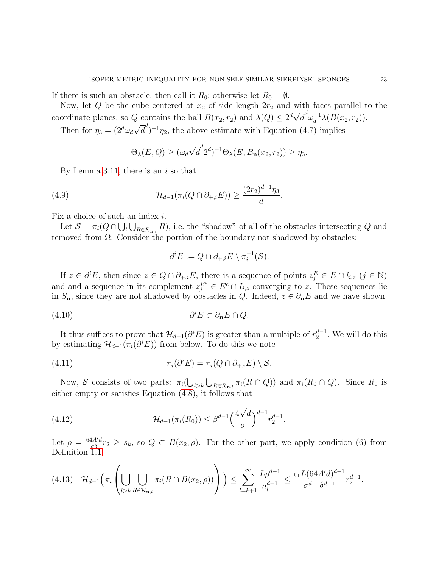If there is such an obstacle, then call it  $R_0$ ; otherwise let  $R_0 = \emptyset$ .

Now, let  $Q$  be the cube centered at  $x_2$  of side length  $2r_2$  and with faces parallel to the rrow, let  $Q$  be the cube centered at  $x_2$  or side length  $2r_2$  and w<br>coordinate planes, so Q contains the ball  $B(x_2, r_2)$  and  $\lambda(Q) \leq 2^d \sqrt{Q}$ Q contains the ball  $B(x_2, r_2)$  and  $\lambda(Q) \leq 2^d \sqrt{d}^d \omega_d^{-1} \lambda(B(x_2, r_2)).$ 

Then for  $\eta_3 = (2^d \omega_d \sqrt{d}^d)^{-1} \eta_2$ , the above estimate with Equation [\(4.7\)](#page-21-0) implies

<span id="page-22-2"></span>
$$
\Theta_{\lambda}(E,Q) \geq (\omega_d \sqrt{d}^d 2^d)^{-1} \Theta_{\lambda}(E,B_{\mathbf{n}}(x_2,r_2)) \geq \eta_3.
$$

By Lemma [3.11,](#page-17-0) there is an  $i$  so that

(4.9) 
$$
\mathcal{H}_{d-1}(\pi_i(Q \cap \partial_{+,i}E)) \geq \frac{(2r_2)^{d-1}\eta_3}{d}.
$$

Fix a choice of such an index  $i$ .

Let  $S = \pi_i(Q \cap \bigcup_l \bigcup_{R \in \mathcal{R}_{\mathbf{n},l}} R)$ , i.e. the "shadow" of all of the obstacles intersecting Q and removed from  $\Omega$ . Consider the portion of the boundary not shadowed by obstacles:

<span id="page-22-4"></span><span id="page-22-3"></span>
$$
\partial^i E := Q \cap \partial_{+,i} E \setminus \pi_i^{-1}(\mathcal{S}).
$$

If  $z \in \partial^i E$ , then since  $z \in Q \cap \partial_{+,i} E$ , there is a sequence of points  $z_j^E \in E \cap l_{i,z}$   $(j \in \mathbb{N})$ and and a sequence in its complement  $z_j^{E^c} \in E^c \cap I_{i,z}$  converging to z. These sequences lie in  $S_n$ , since they are not shadowed by obstacles in Q. Indeed,  $z \in \partial_n E$  and we have shown

$$
(4.10) \t\t \t\t \partial^i E \subset \partial_{\mathbf{n}} E \cap Q.
$$

It thus suffices to prove that  $\mathcal{H}_{d-1}(\partial^i E)$  is greater than a multiple of  $r_2^{d-1}$ . We will do this by estimating  $\mathcal{H}_{d-1}(\pi_i(\partial^i E))$  from below. To do this we note

(4.11) 
$$
\pi_i(\partial^i E) = \pi_i(Q \cap \partial_{+,i} E) \setminus \mathcal{S}.
$$

Now, S consists of two parts:  $\pi_i(\bigcup_{l>k}\bigcup_{R\in\mathcal{R}_{n,l}}\pi_i(R\cap Q))$  and  $\pi_i(R_0\cap Q)$ . Since  $R_0$  is either empty or satisfies Equation [\(4.8\)](#page-21-1), it follows that

<span id="page-22-0"></span>(4.12) 
$$
\mathcal{H}_{d-1}(\pi_i(R_0)) \leq \beta^{d-1} \left(\frac{4\sqrt{d}}{\sigma}\right)^{d-1} r_2^{d-1}.
$$

Let  $\rho = \frac{64A'd}{\sigma \delta} r_2 \geq s_k$ , so  $Q \subset B(x_2, \rho)$ . For the other part, we apply condition (6) from Definition [1.1:](#page-2-0)

<span id="page-22-1"></span>
$$
(4.13) \quad \mathcal{H}_{d-1}\left(\pi_i \left(\bigcup_{l>k} \bigcup_{R \in \mathcal{R}_{\mathbf{n},l}} \pi_i(R \cap B(x_2,\rho))\right)\right) \le \sum_{l=k+1}^{\infty} \frac{L\rho^{d-1}}{n_l^{d-1}} \le \frac{\epsilon_1 L (64A'd)^{d-1}}{\sigma^{d-1} \delta^{d-1}} r_2^{d-1}.
$$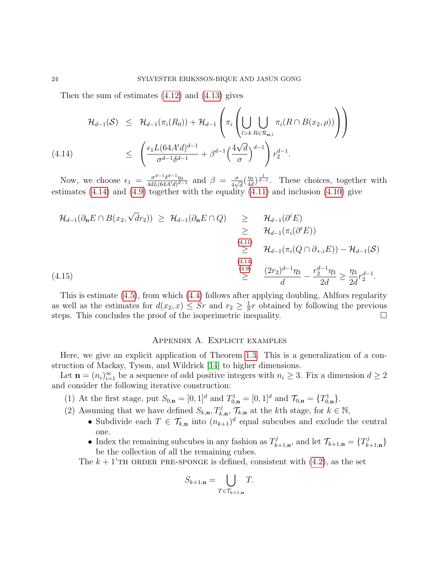<span id="page-23-1"></span>Then the sum of estimates [\(4.12\)](#page-22-0) and [\(4.13\)](#page-22-1) gives

$$
\mathcal{H}_{d-1}(\mathcal{S}) \leq \mathcal{H}_{d-1}(\pi_i(R_0)) + \mathcal{H}_{d-1} \left( \pi_i \left( \bigcup_{l > k} \bigcup_{R \in \mathcal{R}_{\mathbf{n},l}} \pi_i(R \cap B(x_2, \rho)) \right) \right)
$$
\n
$$
\leq \left( \frac{\epsilon_1 L (64A'd)^{d-1}}{\sigma^{d-1} \delta^{d-1}} + \beta^{d-1} \left( \frac{4\sqrt{d}}{\sigma} \right)^{d-1} \right) r_2^{d-1}.
$$

Now, we choose  $\epsilon_1 = \frac{\sigma^{d-1} \delta^{d-1} \eta_3}{4 dL (64 A' d)^{d-1}}$  $\frac{\sigma^{d-1}\delta^{d-1}\eta_3}{4dL(64A'd)^{d-1}}$  and  $\beta = \frac{\sigma}{4\sqrt{3}}$  $\frac{\sigma}{4\sqrt{d}}\left(\frac{\eta_3}{4d}\right)$  $\frac{\eta_3}{4d}$ ,  $\frac{1}{d-1}$ . These choices, together with estimates  $(4.14)$  and  $(4.9)$  together with the equality  $(4.11)$  and inclusion  $(4.10)$  give

$$
\mathcal{H}_{d-1}(\partial_{\mathbf{n}} E \cap B(x_2, \sqrt{d}r_2)) \geq \mathcal{H}_{d-1}(\partial_{\mathbf{n}} E \cap Q) \geq \mathcal{H}_{d-1}(\partial^i E)
$$
\n
$$
\geq \mathcal{H}_{d-1}(\pi_i(\partial^i E))
$$
\n
$$
\geq \mathcal{H}_{d-1}(\pi_i(Q \cap \partial_{+,i} E)) - \mathcal{H}_{d-1}(\mathcal{S})
$$
\n
$$
\stackrel{(4.11)}{\geq} \mathcal{H}_{d-1}(\pi_i(Q \cap \partial_{+,i} E)) - \mathcal{H}_{d-1}(\mathcal{S})
$$
\n
$$
\stackrel{(4.12)}{\geq} \frac{(2r_2)^{d-1} \eta_3}{d} - \frac{r_2^{d-1} \eta_3}{2d} \geq \frac{\eta_3}{2d} r_2^{d-1}.
$$

This is estimate [\(4.5\)](#page-20-0), from which [\(4.4\)](#page-19-1) follows after applying doubling, Ahlfors regularity as well as the estimates for  $d(x_2, x) \leq Sr$  and  $r_2 \geq \frac{1}{S}$  $\frac{1}{S}r$  obtained by following the previous steps. This concludes the proof of the isoperimetric inequality.

# Appendix A. Explicit examples

<span id="page-23-0"></span>Here, we give an explicit application of Theorem [1.3.](#page-3-0) This is a generalization of a construction of Mackay, Tyson, and Wildrick [\[14\]](#page-26-2) to higher dimensions.

Let  $\mathbf{n} = (n_i)_{i=1}^{\infty}$  be a sequence of odd positive integers with  $n_i \geq 3$ . Fix a dimension  $d \geq 2$ and consider the following iterative construction:

- (1) At the first stage, put  $S_{0,n} = [0,1]^d$  and  $T_{0,n}^1 = [0,1]^d$  and  $\mathcal{T}_{0,n} = \{T_{0,n}^1\}.$
- (2) Assuming that we have defined  $S_{k,n}, T_{k,n}^j, \mathcal{T}_{k,n}$  at the kth stage, for  $k \in \mathbb{N}$ ,
	- Subdivide each  $T \in \mathcal{T}_{k,n}$  into  $(n_{k+1})^d$  equal subcubes and exclude the central one.
	- Index the remaining subcubes in any fashion as  $T_k^j$  $\mathcal{L}_{k+1,\mathbf{n}}^{j}$ , and let  $\mathcal{T}_{k+1,\mathbf{n}} = \{T_k^j\}$  ${}_{k+1,\mathbf{n}}^{\vartheta}\}$ be the collection of all the remaining cubes.

The  $k + 1$ 'TH ORDER PRE-SPONGE is defined, consistent with  $(4.2)$ , as the set

$$
S_{k+1,n} = \bigcup_{T \in \mathcal{T}_{k+1,n}} T.
$$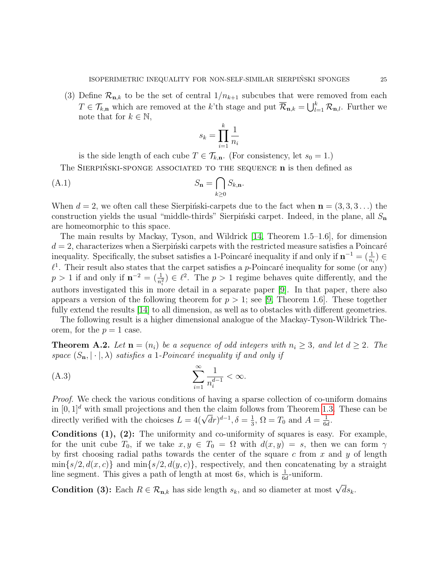(3) Define  $\mathcal{R}_{n,k}$  to be the set of central  $1/n_{k+1}$  subcubes that were removed from each  $T \in \mathcal{T}_{k,n}$  which are removed at the k'th stage and put  $\overline{\mathcal{R}}_{n,k} = \bigcup_{l=1}^{k} \mathcal{R}_{n,l}$ . Further we note that for  $k \in \mathbb{N}$ ,

$$
s_k = \prod_{i=1}^k \frac{1}{n_i}
$$

is the side length of each cube  $T \in \mathcal{T}_{k,n}$ . (For consistency, let  $s_0 = 1$ .)

The SIERPINSKI-SPONGE ASSOCIATED TO THE SEQUENCE  $\bf{n}$  is then defined as

$$
(A.1) \t S_{\mathbf{n}} = \bigcap_{k \ge 0} S_{k,\mathbf{n}}.
$$

When  $d = 2$ , we often call these Sierpinski-carpets due to the fact when  $\mathbf{n} = (3, 3, 3 \dots)$  the construction yields the usual "middle-thirds" Sierpiński carpet. Indeed, in the plane, all  $S_n$ are homeomorphic to this space.

The main results by Mackay, Tyson, and Wildrick [\[14,](#page-26-2) Theorem 1.5–1.6], for dimension  $d = 2$ , characterizes when a Sierpiński carpets with the restricted measure satisfies a Poincaré inequality. Specifically, the subset satisfies a 1-Poincaré inequality if and only if  $\mathbf{n}^{-1} = (\frac{1}{n_i}) \in$  $\ell^1$ . Their result also states that the carpet satisfies a p-Poincaré inequality for some (or any)  $p > 1$  if and only if  $\mathbf{n}^{-2} = (\frac{1}{n_i^2}) \in \ell^2$ . The  $p > 1$  regime behaves quite differently, and the authors investigated this in more detail in a separate paper [\[9\]](#page-25-1). In that paper, there also appears a version of the following theorem for  $p > 1$ ; see [\[9,](#page-25-1) Theorem 1.6]. These together fully extend the results [\[14\]](#page-26-2) to all dimension, as well as to obstacles with different geometries.

The following result is a higher dimensional analogue of the Mackay-Tyson-Wildrick Theorem, for the  $p = 1$  case.

<span id="page-24-0"></span>**Theorem A.2.** Let  $\mathbf{n} = (n_i)$  be a sequence of odd integers with  $n_i \geq 3$ , and let  $d \geq 2$ . The space  $(S_n, |\cdot|, \lambda)$  satisfies a 1-Poincaré inequality if and only if

$$
\sum_{i=1}^{\infty} \frac{1}{n_i^{d-1}} < \infty.
$$

Proof. We check the various conditions of having a sparse collection of co-uniform domains in  $[0, 1]^d$  with small projections and then the claim follows from Theorem [1.3.](#page-3-0) These can be in [0, 1]<sup>-</sup> with small projections and then the claim folice<br>directly verified with the choicses  $L = 4(\sqrt{d}r)^{d-1}, \delta = \frac{1}{3}$  $\frac{1}{3}$ ,  $\Omega = T_0$  and  $A = \frac{1}{66}$  $\frac{1}{6d}$ .

Conditions (1), (2): The uniformity and co-uniformity of squares is easy. For example, for the unit cube  $T_0$ , if we take  $x, y \in T_0 = \Omega$  with  $d(x, y) = s$ , then we can form  $\gamma$ by first choosing radial paths towards the center of the square  $c$  from  $x$  and  $y$  of length  $\min\{s/2, d(x, c)\}\$  and  $\min\{s/2, d(y, c)\}\$ , respectively, and then concatenating by a straight line segment. This gives a path of length at most 6s, which is  $\frac{1}{6d}$ -uniform.

**Condition (3):** Each  $R \in \mathcal{R}_{n,k}$  has side length  $s_k$ , and so diameter at most  $\sqrt{ds_k}$ .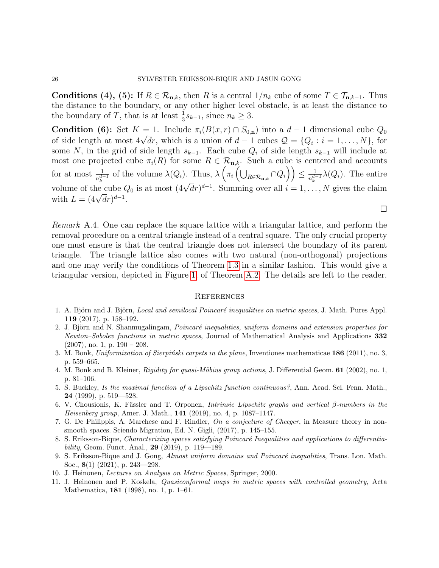**Conditions (4), (5):** If  $R \in \mathcal{R}_{n,k}$ , then R is a central  $1/n_k$  cube of some  $T \in \mathcal{T}_{n,k-1}$ . Thus the distance to the boundary, or any other higher level obstacle, is at least the distance to the boundary of T, that is at least  $\frac{1}{3}s_{k-1}$ , since  $n_k \geq 3$ .

**Condition (6):** Set  $K = 1$ . Include  $\pi_i(B(x,r) \cap S_{0,n})$  into a  $d-1$  dimensional cube  $Q_0$ **Condition** (**o**): Set  $K = 1$ . Include  $\pi_i(D(x, r) \cap S_{0,n})$  into a  $u - 1$  dimensional clube  $Q_0$  of side length at most  $4\sqrt{d}r$ , which is a union of  $d - 1$  cubes  $Q = \{Q_i : i = 1, ..., N\}$ , for some N, in the grid of side length  $s_{k-1}$ . Each cube  $Q_i$  of side length  $s_{k-1}$  will include at most one projected cube  $\pi_i(R)$  for some  $R \in \mathcal{R}_{\mathbf{n},k}$ . Such a cube is centered and accounts for at most  $\frac{1}{n_k^{d-1}}$  of the volume  $\lambda(Q_i)$ . Thus,  $\lambda\left(\pi_i\left(\bigcup_{R\in\mathcal{R}_{\mathbf{n},k}}\cap Q_i\right)\right)\leq \frac{1}{n_k^{d-1}}$  $\frac{1}{n_k^{d-1}}\lambda(Q_i)$ . The entire volume of the cube  $Q_0$  is at most  $(4\sqrt{d}r)^{d-1}$ . Summing over all  $i = 1, ..., N$  gives the claim volume of the cube  $\zeta$ <br>with  $L = (4\sqrt{d}r)^{d-1}$ .  $\Box$ 

Remark A.4. One can replace the square lattice with a triangular lattice, and perform the removal procedure on a central triangle instead of a central square. The only crucial property one must ensure is that the central triangle does not intersect the boundary of its parent triangle. The triangle lattice also comes with two natural (non-orthogonal) projections and one may verify the conditions of Theorem [1.3](#page-3-0) in a similar fashion. This would give a triangular version, depicted in Figure [1,](#page-4-0) of Theorem [A.2.](#page-24-0) The details are left to the reader.

#### **REFERENCES**

- <span id="page-25-9"></span>1. A. Björn and J. Björn, Local and semilocal Poincaré inequalities on metric spaces, J. Math. Pures Appl. 119 (2017), p. 158–192.
- <span id="page-25-8"></span>2. J. Björn and N. Shanmugalingam, *Poincaré inequalities, uniform domains and extension properties for* Newton–Sobolev functions in metric spaces, Journal of Mathematical Analysis and Applications 332  $(2007)$ , no. 1, p.  $190 - 208$ .
- <span id="page-25-4"></span>3. M. Bonk, Uniformization of Sierpiński carpets in the plane, Inventiones mathematicae  $186$  (2011), no. 3, p. 559–665.
- <span id="page-25-2"></span>4. M. Bonk and B. Kleiner, Rigidity for quasi-Möbius group actions, J. Differential Geom. 61 (2002), no. 1, p. 81–106.
- <span id="page-25-7"></span>5. S. Buckley, Is the maximal function of a Lipschitz function continuous?, Ann. Acad. Sci. Fenn. Math., **24** (1999), p.  $519 - 528$ .
- <span id="page-25-5"></span>6. V. Chousionis, K. Fässler and T. Orponen, Intrinsic Lipschitz graphs and vertical β-numbers in the Heisenberg group, Amer. J. Math., 141 (2019), no. 4, p. 1087–1147.
- 7. G. De Philippis, A. Marchese and F. Rindler, On a conjecture of Cheeger, in Measure theory in nonsmooth spaces. Sciendo Migration, Ed. N. Gigli, (2017), p. 145–155.
- <span id="page-25-3"></span>8. S. Eriksson-Bique, Characterizing spaces satisfying Poincaré Inequalities and applications to differentiability, Geom. Funct. Anal., 29 (2019), p. 119—189.
- <span id="page-25-1"></span>9. S. Eriksson-Bique and J. Gong, Almost uniform domains and Poincaré inequalities, Trans. Lon. Math. Soc., 8(1) (2021), p. 243—298.
- <span id="page-25-6"></span>10. J. Heinonen, Lectures on Analysis on Metric Spaces, Springer, 2000.
- <span id="page-25-0"></span>11. J. Heinonen and P. Koskela, Quasiconformal maps in metric spaces with controlled geometry, Acta Mathematica, **181** (1998), no. 1, p. 1–61.